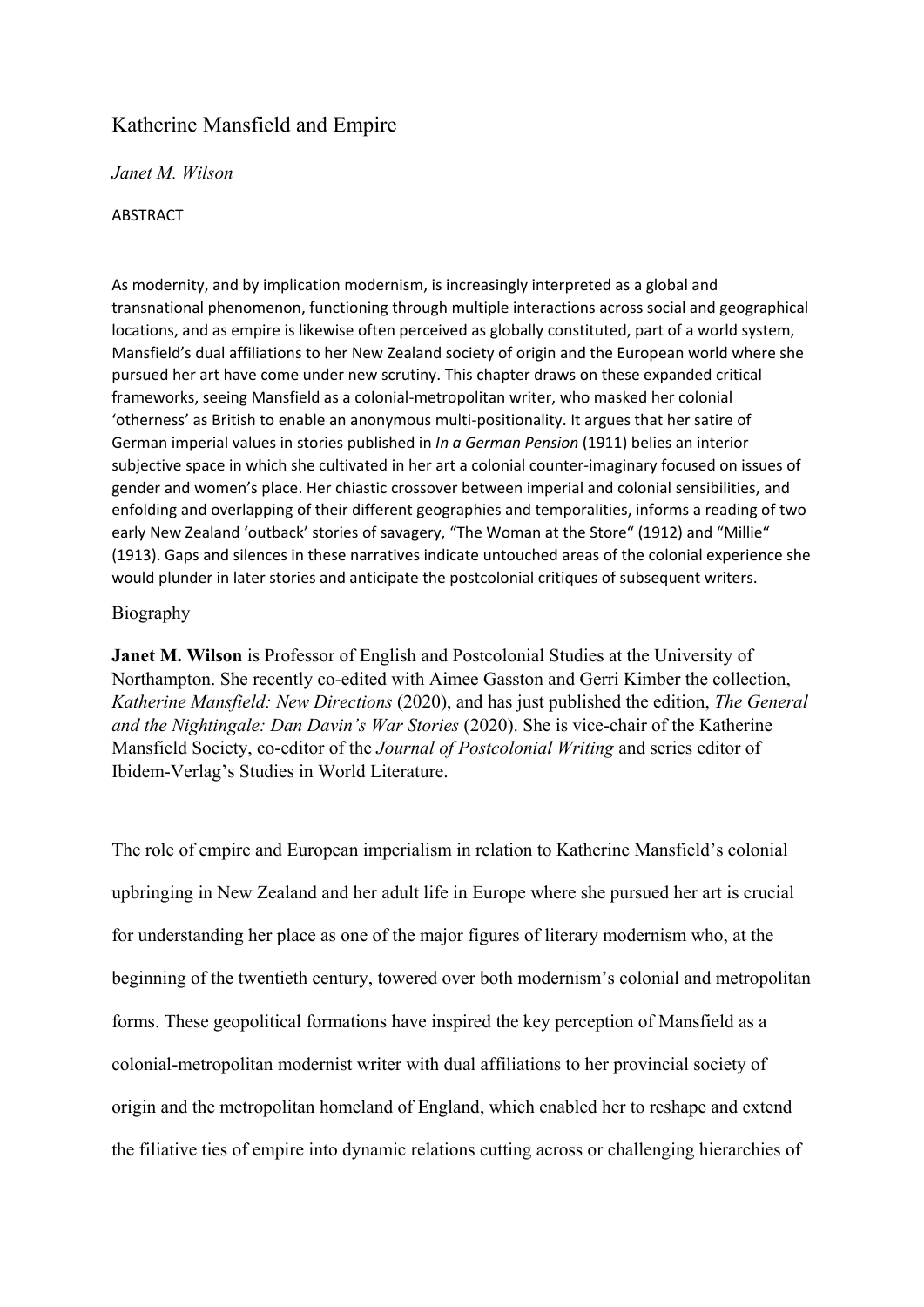# Katherine Mansfield and Empire

*Janet M. Wilson*

## ABSTRACT

As modernity, and by implication modernism, is increasingly interpreted as a global and transnational phenomenon, functioning through multiple interactions across social and geographical locations, and as empire is likewise often perceived as globally constituted, part of a world system, Mansfield's dual affiliations to her New Zealand society of origin and the European world where she pursued her art have come under new scrutiny. This chapter draws on these expanded critical frameworks, seeing Mansfield as a colonial-metropolitan writer, who masked her colonial 'otherness' as British to enable an anonymous multi-positionality. It argues that her satire of German imperial values in stories published in *In a German Pension* (1911) belies an interior subjective space in which she cultivated in her art a colonial counter-imaginary focused on issues of gender and women's place. Her chiastic crossover between imperial and colonial sensibilities, and enfolding and overlapping of their different geographies and temporalities, informs a reading of two early New Zealand 'outback' stories of savagery, "The Woman at the Store" (1912) and "Millie" (1913). Gaps and silences in these narratives indicate untouched areas of the colonial experience she would plunder in later stories and anticipate the postcolonial critiques of subsequent writers.

# Biography

**Janet M. Wilson** is Professor of English and Postcolonial Studies at the University of Northampton. She recently co-edited with Aimee Gasston and Gerri Kimber the collection, *Katherine Mansfield: New Directions* (2020), and has just published the edition, *The General and the Nightingale: Dan Davin's War Stories* (2020). She is vice-chair of the Katherine Mansfield Society, co-editor of the *Journal of Postcolonial Writing* and series editor of Ibidem-Verlag's Studies in World Literature.

The role of empire and European imperialism in relation to Katherine Mansfield's colonial upbringing in New Zealand and her adult life in Europe where she pursued her art is crucial for understanding her place as one of the major figures of literary modernism who, at the beginning of the twentieth century, towered over both modernism's colonial and metropolitan forms. These geopolitical formations have inspired the key perception of Mansfield as a colonial-metropolitan modernist writer with dual affiliations to her provincial society of origin and the metropolitan homeland of England, which enabled her to reshape and extend the filiative ties of empire into dynamic relations cutting across or challenging hierarchies of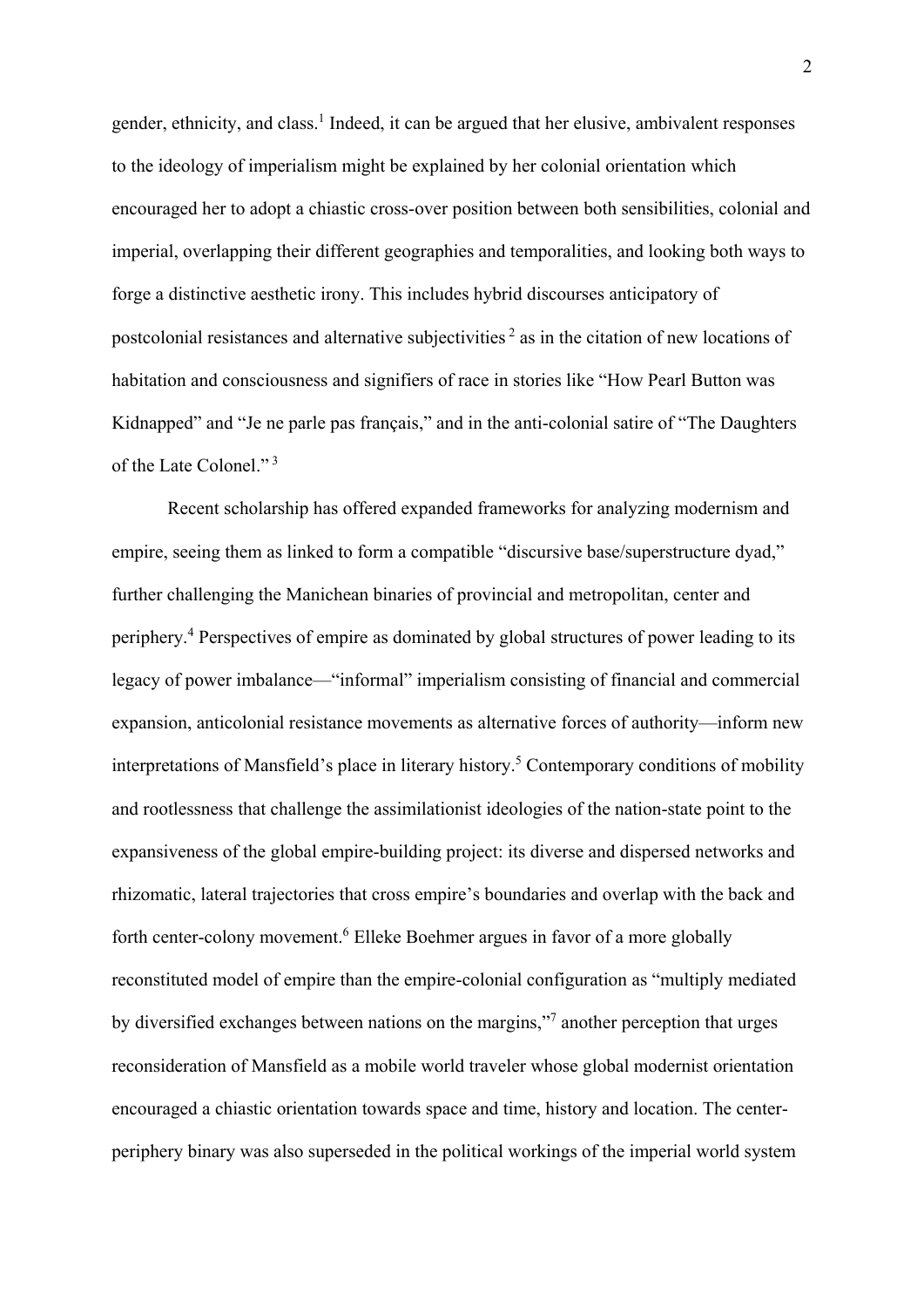gender, ethnicity, and class.<sup>1</sup> Indeed, it can be argued that her elusive, ambivalent responses to the ideology of imperialism might be explained by her colonial orientation which encouraged her to adopt a chiastic cross-over position between both sensibilities, colonial and imperial, overlapping their different geographies and temporalities, and looking both ways to forge a distinctive aesthetic irony. This includes hybrid discourses anticipatory of postcolonial resistances and alternative subjectivities<sup>2</sup> as in the citation of new locations of habitation and consciousness and signifiers of race in stories like "How Pearl Button was Kidnapped" and "Je ne parle pas français," and in the anti-colonial satire of "The Daughters of the Late Colonel." <sup>3</sup>

Recent scholarship has offered expanded frameworks for analyzing modernism and empire, seeing them as linked to form a compatible "discursive base/superstructure dyad," further challenging the Manichean binaries of provincial and metropolitan, center and periphery.<sup>4</sup> Perspectives of empire as dominated by global structures of power leading to its legacy of power imbalance—"informal" imperialism consisting of financial and commercial expansion, anticolonial resistance movements as alternative forces of authority—inform new interpretations of Mansfield's place in literary history.<sup>5</sup> Contemporary conditions of mobility and rootlessness that challenge the assimilationist ideologies of the nation-state point to the expansiveness of the global empire-building project: its diverse and dispersed networks and rhizomatic, lateral trajectories that cross empire's boundaries and overlap with the back and forth center-colony movement. <sup>6</sup> Elleke Boehmer argues in favor of a more globally reconstituted model of empire than the empire-colonial configuration as "multiply mediated by diversified exchanges between nations on the margins,"<sup>7</sup> another perception that urges reconsideration of Mansfield as a mobile world traveler whose global modernist orientation encouraged a chiastic orientation towards space and time, history and location. The centerperiphery binary was also superseded in the political workings of the imperial world system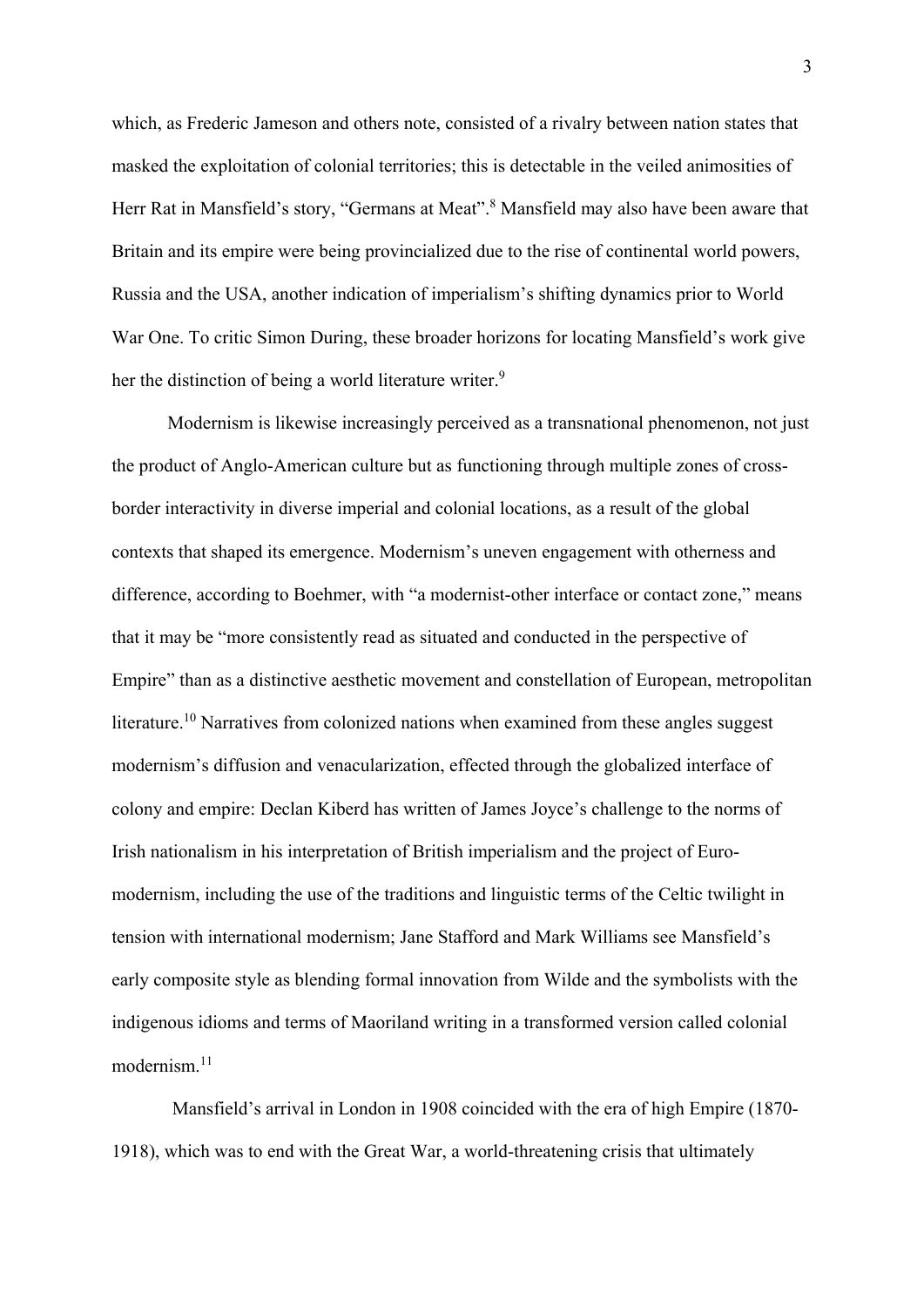which, as Frederic Jameson and others note, consisted of a rivalry between nation states that masked the exploitation of colonial territories; this is detectable in the veiled animosities of Herr Rat in Mansfield's story, "Germans at Meat".<sup>8</sup> Mansfield may also have been aware that Britain and its empire were being provincialized due to the rise of continental world powers, Russia and the USA, another indication of imperialism's shifting dynamics prior to World War One. To critic Simon During, these broader horizons for locating Mansfield's work give her the distinction of being a world literature writer.<sup>9</sup>

Modernism is likewise increasingly perceived as a transnational phenomenon, not just the product of Anglo-American culture but as functioning through multiple zones of crossborder interactivity in diverse imperial and colonial locations, as a result of the global contexts that shaped its emergence. Modernism's uneven engagement with otherness and difference, according to Boehmer, with "a modernist-other interface or contact zone," means that it may be "more consistently read as situated and conducted in the perspective of Empire" than as a distinctive aesthetic movement and constellation of European, metropolitan literature.<sup>10</sup> Narratives from colonized nations when examined from these angles suggest modernism's diffusion and venacularization, effected through the globalized interface of colony and empire: Declan Kiberd has written of James Joyce's challenge to the norms of Irish nationalism in his interpretation of British imperialism and the project of Euromodernism, including the use of the traditions and linguistic terms of the Celtic twilight in tension with international modernism; Jane Stafford and Mark Williams see Mansfield's early composite style as blending formal innovation from Wilde and the symbolists with the indigenous idioms and terms of Maoriland writing in a transformed version called colonial modernism.<sup>11</sup>

Mansfield's arrival in London in 1908 coincided with the era of high Empire (1870- 1918), which was to end with the Great War, a world-threatening crisis that ultimately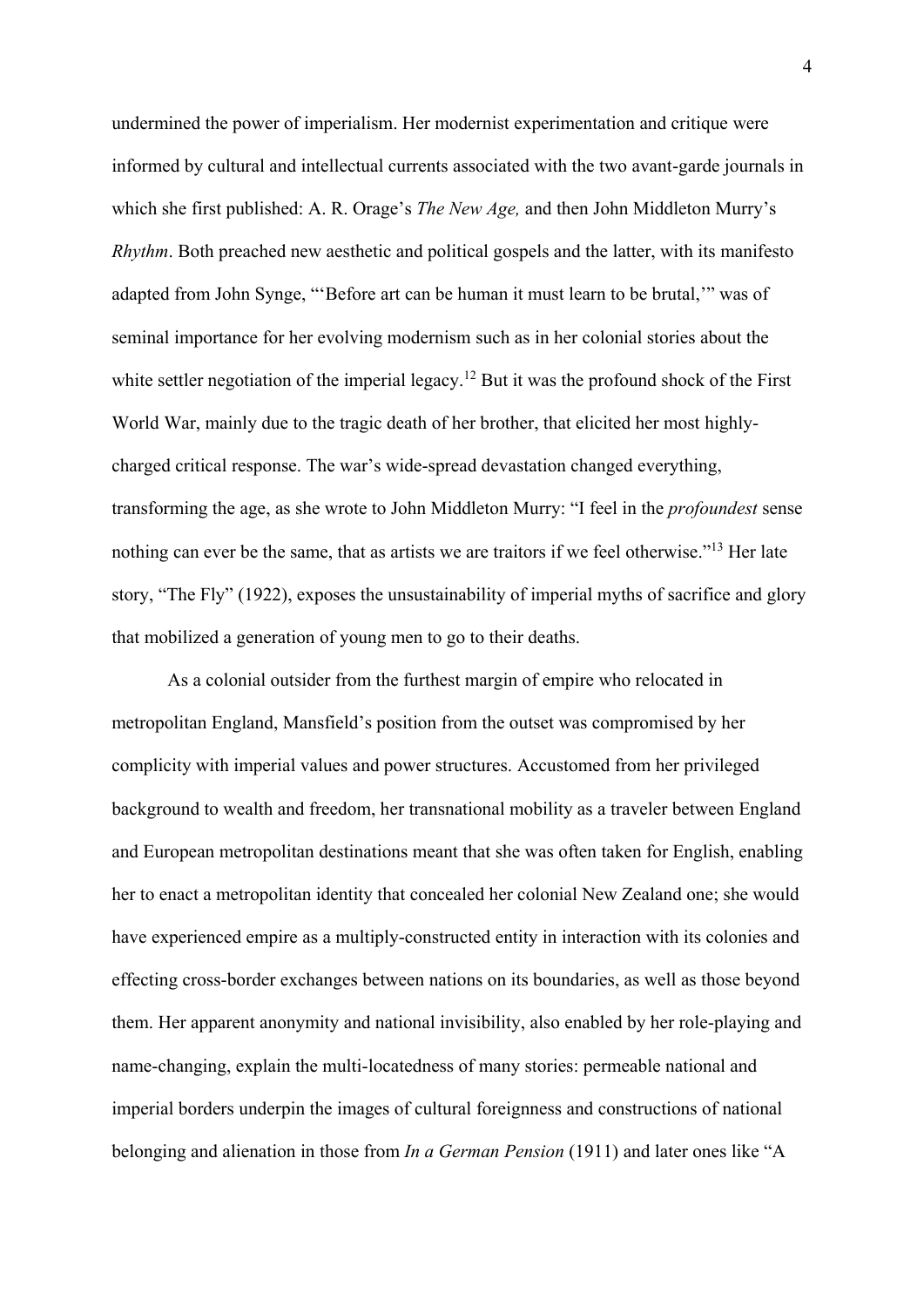undermined the power of imperialism. Her modernist experimentation and critique were informed by cultural and intellectual currents associated with the two avant-garde journals in which she first published: A. R. Orage's *The New Age,* and then John Middleton Murry's *Rhythm*. Both preached new aesthetic and political gospels and the latter, with its manifesto adapted from John Synge, "'Before art can be human it must learn to be brutal,'" was of seminal importance for her evolving modernism such as in her colonial stories about the white settler negotiation of the imperial legacy.<sup>12</sup> But it was the profound shock of the First World War, mainly due to the tragic death of her brother, that elicited her most highlycharged critical response. The war's wide-spread devastation changed everything, transforming the age, as she wrote to John Middleton Murry: "I feel in the *profoundest* sense nothing can ever be the same, that as artists we are traitors if we feel otherwise."<sup>13</sup> Her late story, "The Fly" (1922), exposes the unsustainability of imperial myths of sacrifice and glory that mobilized a generation of young men to go to their deaths.

As a colonial outsider from the furthest margin of empire who relocated in metropolitan England, Mansfield's position from the outset was compromised by her complicity with imperial values and power structures. Accustomed from her privileged background to wealth and freedom, her transnational mobility as a traveler between England and European metropolitan destinations meant that she was often taken for English, enabling her to enact a metropolitan identity that concealed her colonial New Zealand one; she would have experienced empire as a multiply-constructed entity in interaction with its colonies and effecting cross-border exchanges between nations on its boundaries, as well as those beyond them. Her apparent anonymity and national invisibility, also enabled by her role-playing and name-changing, explain the multi-locatedness of many stories: permeable national and imperial borders underpin the images of cultural foreignness and constructions of national belonging and alienation in those from *In a German Pension* (1911) and later ones like "A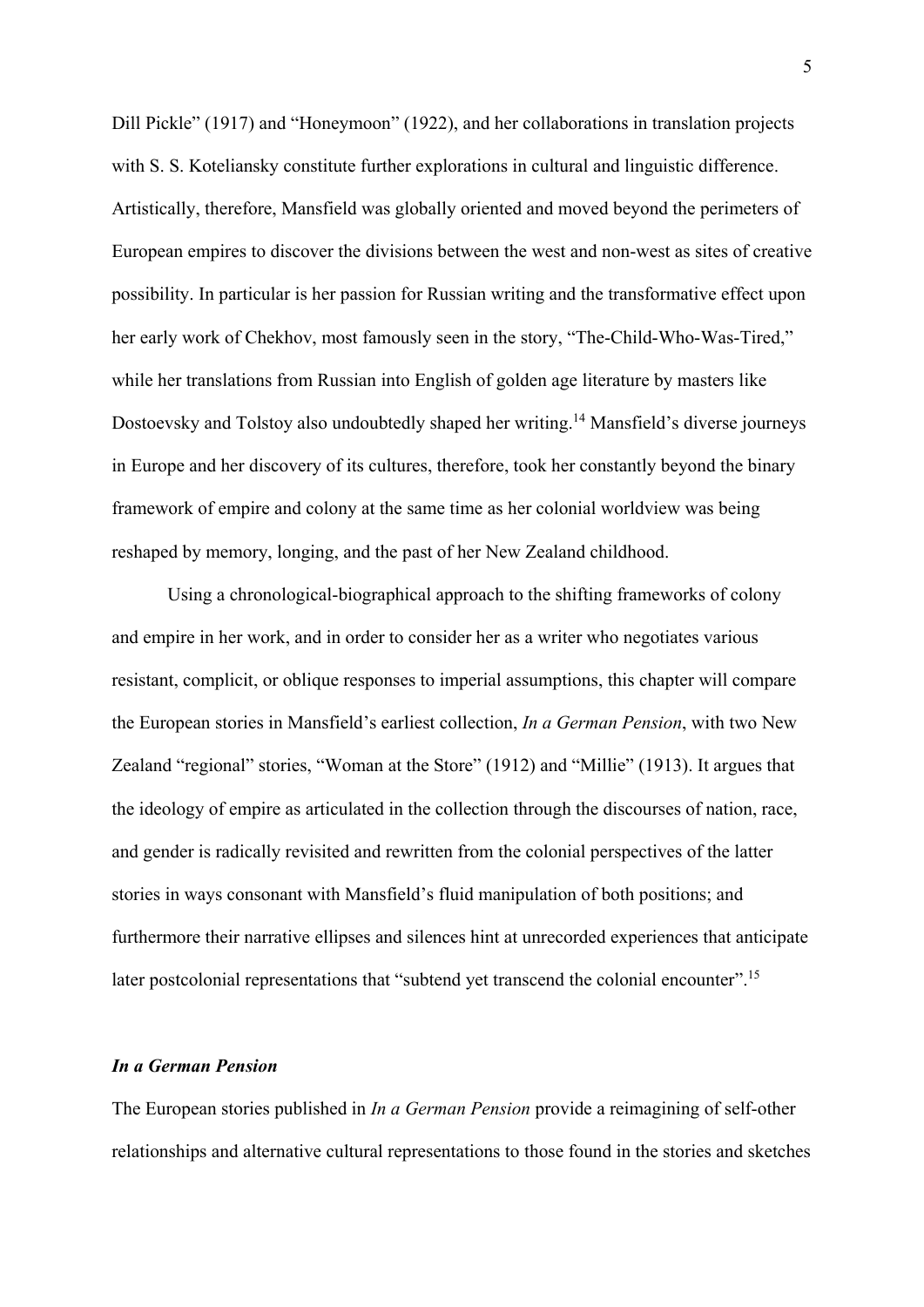Dill Pickle" (1917) and "Honeymoon" (1922), and her collaborations in translation projects with S. S. Koteliansky constitute further explorations in cultural and linguistic difference. Artistically, therefore, Mansfield was globally oriented and moved beyond the perimeters of European empires to discover the divisions between the west and non-west as sites of creative possibility. In particular is her passion for Russian writing and the transformative effect upon her early work of Chekhov, most famously seen in the story, "The-Child-Who-Was-Tired," while her translations from Russian into English of golden age literature by masters like Dostoevsky and Tolstoy also undoubtedly shaped her writing.<sup>14</sup> Mansfield's diverse journeys in Europe and her discovery of its cultures, therefore, took her constantly beyond the binary framework of empire and colony at the same time as her colonial worldview was being reshaped by memory, longing, and the past of her New Zealand childhood.

Using a chronological-biographical approach to the shifting frameworks of colony and empire in her work, and in order to consider her as a writer who negotiates various resistant, complicit, or oblique responses to imperial assumptions, this chapter will compare the European stories in Mansfield's earliest collection, *In a German Pension*, with two New Zealand "regional" stories, "Woman at the Store" (1912) and "Millie" (1913). It argues that the ideology of empire as articulated in the collection through the discourses of nation, race, and gender is radically revisited and rewritten from the colonial perspectives of the latter stories in ways consonant with Mansfield's fluid manipulation of both positions; and furthermore their narrative ellipses and silences hint at unrecorded experiences that anticipate later postcolonial representations that "subtend yet transcend the colonial encounter".<sup>15</sup>

### *In a German Pension*

The European stories published in *In a German Pension* provide a reimagining of self-other relationships and alternative cultural representations to those found in the stories and sketches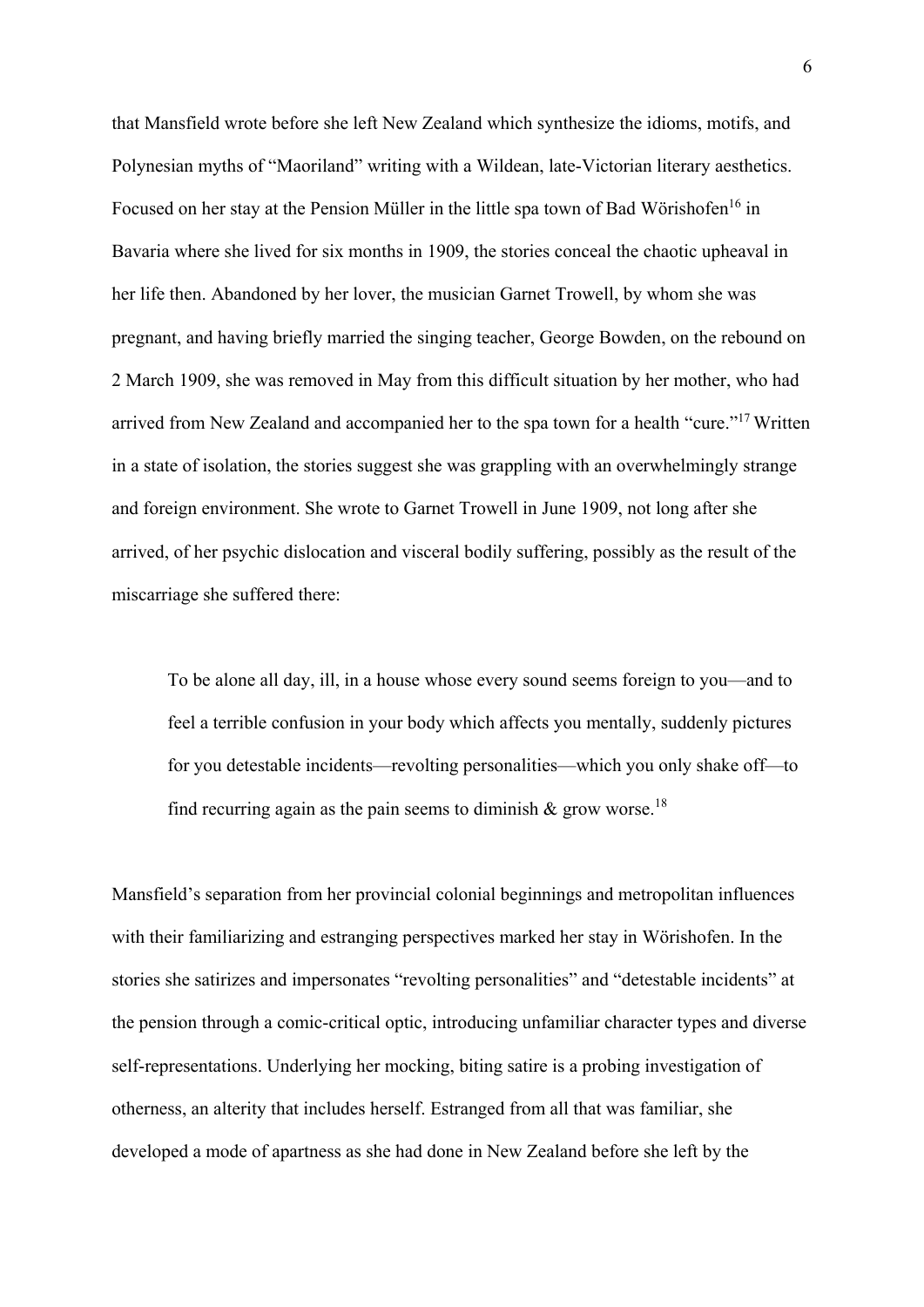that Mansfield wrote before she left New Zealand which synthesize the idioms, motifs, and Polynesian myths of "Maoriland" writing with a Wildean, late-Victorian literary aesthetics. Focused on her stay at the Pension Müller in the little spa town of Bad Wörishofen<sup>16</sup> in Bavaria where she lived for six months in 1909, the stories conceal the chaotic upheaval in her life then. Abandoned by her lover, the musician Garnet Trowell, by whom she was pregnant, and having briefly married the singing teacher, George Bowden, on the rebound on 2 March 1909, she was removed in May from this difficult situation by her mother, who had arrived from New Zealand and accompanied her to the spa town for a health "cure."<sup>17</sup> Written in a state of isolation, the stories suggest she was grappling with an overwhelmingly strange and foreign environment. She wrote to Garnet Trowell in June 1909, not long after she arrived, of her psychic dislocation and visceral bodily suffering, possibly as the result of the miscarriage she suffered there:

To be alone all day, ill, in a house whose every sound seems foreign to you—and to feel a terrible confusion in your body which affects you mentally, suddenly pictures for you detestable incidents—revolting personalities—which you only shake off—to find recurring again as the pain seems to diminish  $\&$  grow worse.<sup>18</sup>

Mansfield's separation from her provincial colonial beginnings and metropolitan influences with their familiarizing and estranging perspectives marked her stay in Wörishofen. In the stories she satirizes and impersonates "revolting personalities" and "detestable incidents" at the pension through a comic-critical optic, introducing unfamiliar character types and diverse self-representations. Underlying her mocking, biting satire is a probing investigation of otherness, an alterity that includes herself. Estranged from all that was familiar, she developed a mode of apartness as she had done in New Zealand before she left by the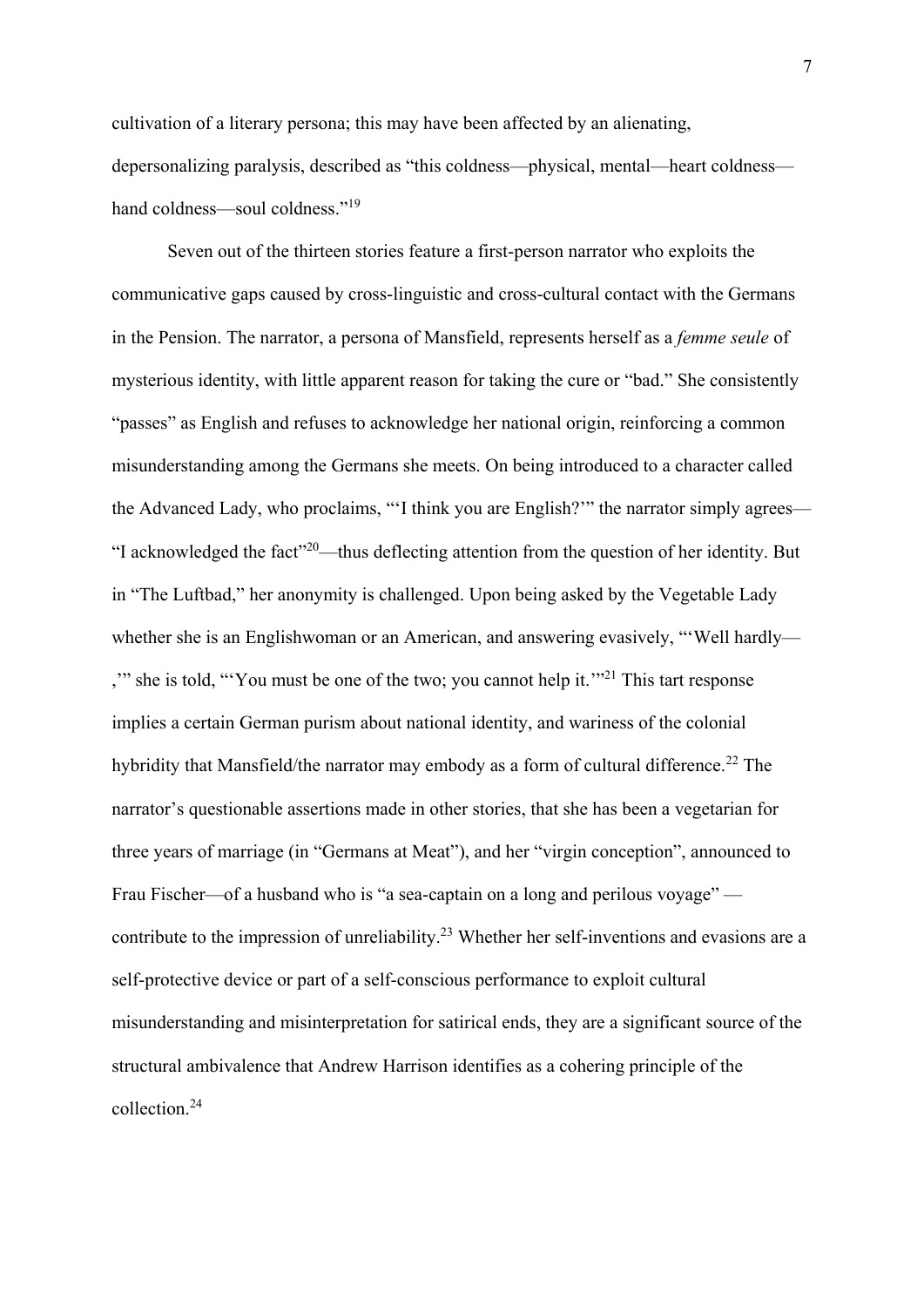cultivation of a literary persona; this may have been affected by an alienating, depersonalizing paralysis, described as "this coldness—physical, mental—heart coldness hand coldness—soul coldness."<sup>19</sup>

Seven out of the thirteen stories feature a first-person narrator who exploits the communicative gaps caused by cross-linguistic and cross-cultural contact with the Germans in the Pension. The narrator, a persona of Mansfield, represents herself as a *femme seule* of mysterious identity, with little apparent reason for taking the cure or "bad." She consistently "passes" as English and refuses to acknowledge her national origin, reinforcing a common misunderstanding among the Germans she meets. On being introduced to a character called the Advanced Lady, who proclaims, "'I think you are English?'" the narrator simply agrees— "I acknowledged the fact"<sup>20</sup>—thus deflecting attention from the question of her identity. But in "The Luftbad," her anonymity is challenged. Upon being asked by the Vegetable Lady whether she is an Englishwoman or an American, and answering evasively, "Well hardly— " she is told, "You must be one of the two; you cannot help it."<sup>21</sup> This tart response implies a certain German purism about national identity, and wariness of the colonial hybridity that Mansfield/the narrator may embody as a form of cultural difference.<sup>22</sup> The narrator's questionable assertions made in other stories, that she has been a vegetarian for three years of marriage (in "Germans at Meat"), and her "virgin conception", announced to Frau Fischer—of a husband who is "a sea-captain on a long and perilous voyage" contribute to the impression of unreliability.<sup>23</sup> Whether her self-inventions and evasions are a self-protective device or part of a self-conscious performance to exploit cultural misunderstanding and misinterpretation for satirical ends, they are a significant source of the structural ambivalence that Andrew Harrison identifies as a cohering principle of the collection.<sup>24</sup>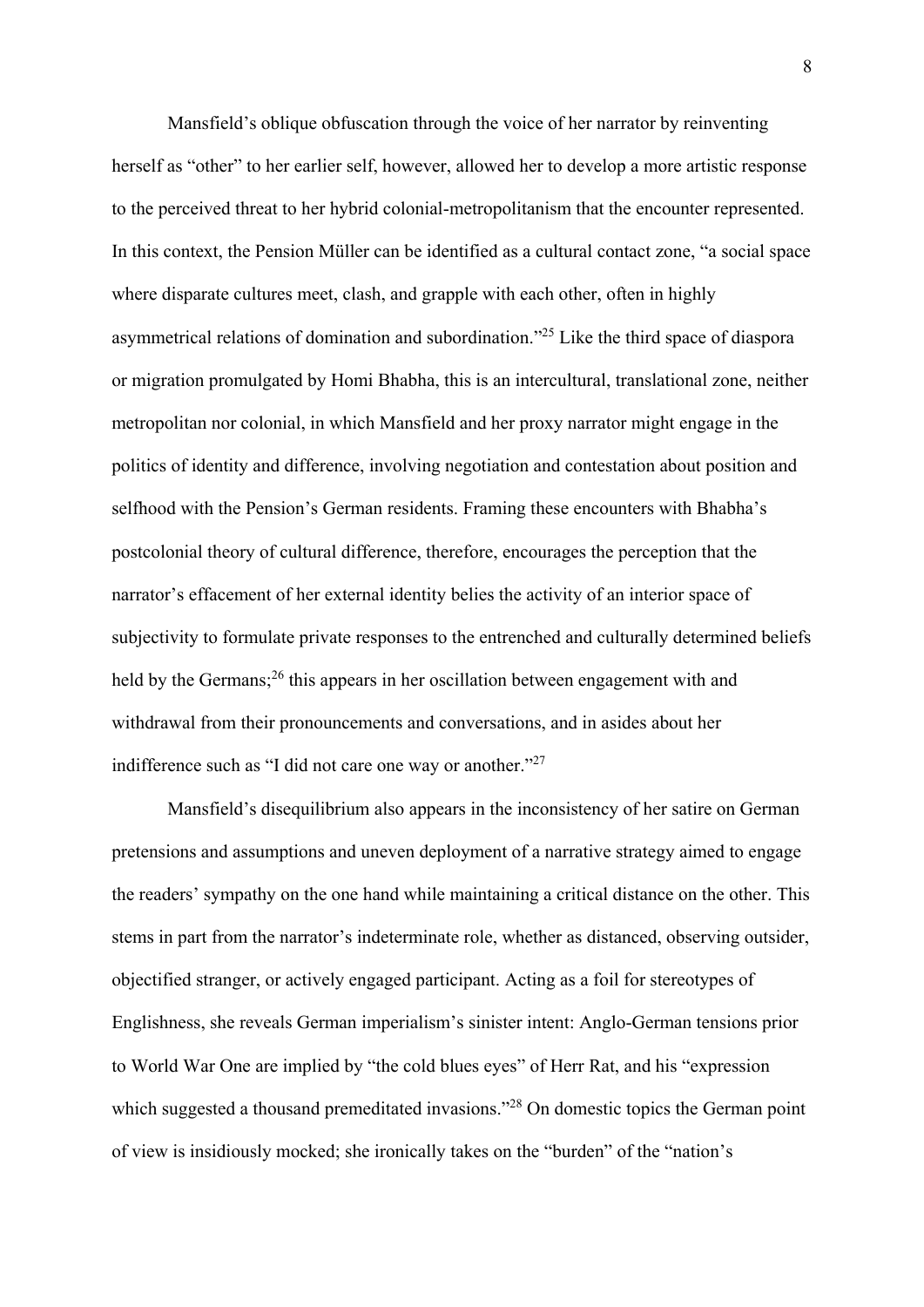Mansfield's oblique obfuscation through the voice of her narrator by reinventing herself as "other" to her earlier self, however, allowed her to develop a more artistic response to the perceived threat to her hybrid colonial-metropolitanism that the encounter represented. In this context, the Pension Müller can be identified as a cultural contact zone, "a social space where disparate cultures meet, clash, and grapple with each other, often in highly asymmetrical relations of domination and subordination."<sup>25</sup> Like the third space of diaspora or migration promulgated by Homi Bhabha, this is an intercultural, translational zone, neither metropolitan nor colonial, in which Mansfield and her proxy narrator might engage in the politics of identity and difference, involving negotiation and contestation about position and selfhood with the Pension's German residents. Framing these encounters with Bhabha's postcolonial theory of cultural difference, therefore, encourages the perception that the narrator's effacement of her external identity belies the activity of an interior space of subjectivity to formulate private responses to the entrenched and culturally determined beliefs held by the Germans;<sup>26</sup> this appears in her oscillation between engagement with and withdrawal from their pronouncements and conversations, and in asides about her indifference such as "I did not care one way or another."<sup>27</sup>

Mansfield's disequilibrium also appears in the inconsistency of her satire on German pretensions and assumptions and uneven deployment of a narrative strategy aimed to engage the readers' sympathy on the one hand while maintaining a critical distance on the other. This stems in part from the narrator's indeterminate role, whether as distanced, observing outsider, objectified stranger, or actively engaged participant. Acting as a foil for stereotypes of Englishness, she reveals German imperialism's sinister intent: Anglo-German tensions prior to World War One are implied by "the cold blues eyes" of Herr Rat, and his "expression which suggested a thousand premeditated invasions."<sup>28</sup> On domestic topics the German point of view is insidiously mocked; she ironically takes on the "burden" of the "nation's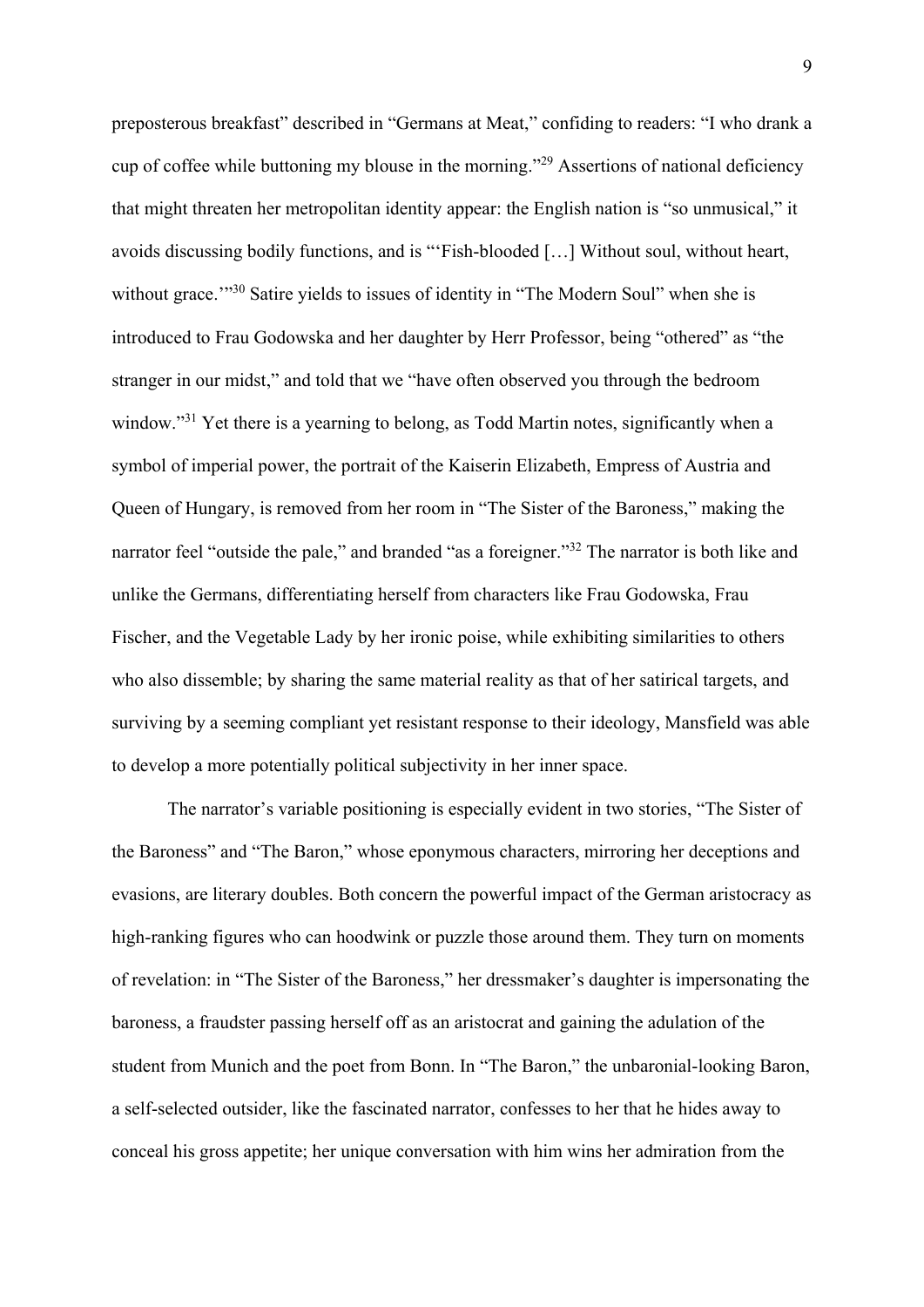preposterous breakfast" described in "Germans at Meat," confiding to readers: "I who drank a cup of coffee while buttoning my blouse in the morning."<sup>29</sup> Assertions of national deficiency that might threaten her metropolitan identity appear: the English nation is "so unmusical," it avoids discussing bodily functions, and is "'Fish-blooded […] Without soul, without heart, without grace."<sup>30</sup> Satire yields to issues of identity in "The Modern Soul" when she is introduced to Frau Godowska and her daughter by Herr Professor, being "othered" as "the stranger in our midst," and told that we "have often observed you through the bedroom window."<sup>31</sup> Yet there is a yearning to belong, as Todd Martin notes, significantly when a symbol of imperial power, the portrait of the Kaiserin Elizabeth, Empress of Austria and Queen of Hungary, is removed from her room in "The Sister of the Baroness," making the narrator feel "outside the pale," and branded "as a foreigner."<sup>32</sup> The narrator is both like and unlike the Germans, differentiating herself from characters like Frau Godowska, Frau Fischer, and the Vegetable Lady by her ironic poise, while exhibiting similarities to others who also dissemble; by sharing the same material reality as that of her satirical targets, and surviving by a seeming compliant yet resistant response to their ideology, Mansfield was able to develop a more potentially political subjectivity in her inner space.

The narrator's variable positioning is especially evident in two stories, "The Sister of the Baroness" and "The Baron," whose eponymous characters, mirroring her deceptions and evasions, are literary doubles. Both concern the powerful impact of the German aristocracy as high-ranking figures who can hoodwink or puzzle those around them. They turn on moments of revelation: in "The Sister of the Baroness," her dressmaker's daughter is impersonating the baroness, a fraudster passing herself off as an aristocrat and gaining the adulation of the student from Munich and the poet from Bonn. In "The Baron," the unbaronial-looking Baron, a self-selected outsider, like the fascinated narrator, confesses to her that he hides away to conceal his gross appetite; her unique conversation with him wins her admiration from the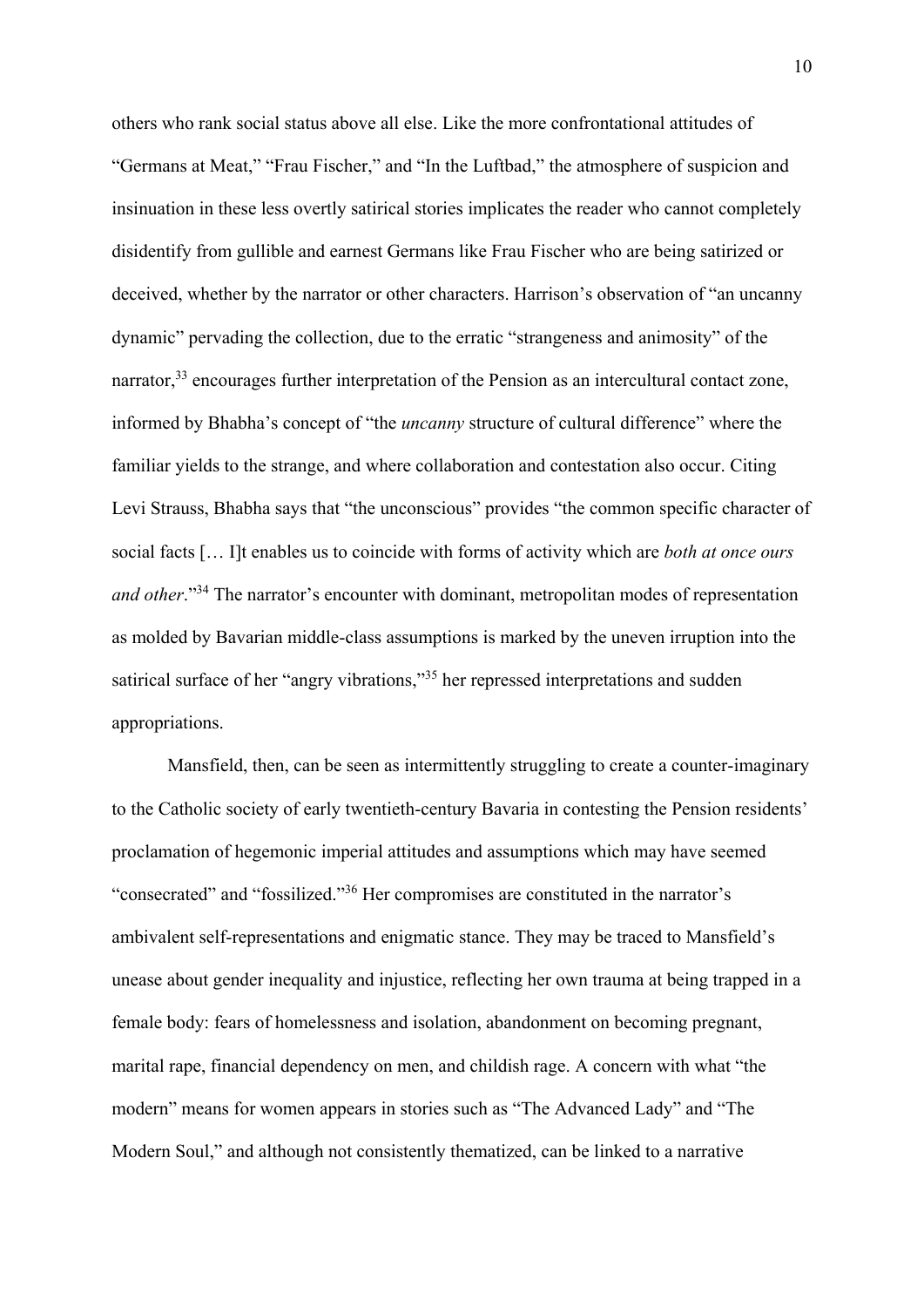others who rank social status above all else. Like the more confrontational attitudes of "Germans at Meat," "Frau Fischer," and "In the Luftbad," the atmosphere of suspicion and insinuation in these less overtly satirical stories implicates the reader who cannot completely disidentify from gullible and earnest Germans like Frau Fischer who are being satirized or deceived, whether by the narrator or other characters. Harrison's observation of "an uncanny dynamic" pervading the collection, due to the erratic "strangeness and animosity" of the narrator,<sup>33</sup> encourages further interpretation of the Pension as an intercultural contact zone, informed by Bhabha's concept of "the *uncanny* structure of cultural difference" where the familiar yields to the strange, and where collaboration and contestation also occur. Citing Levi Strauss, Bhabha says that "the unconscious" provides "the common specific character of social facts [… I]t enables us to coincide with forms of activity which are *both at once ours and other*."<sup>34</sup> The narrator's encounter with dominant, metropolitan modes of representation as molded by Bavarian middle-class assumptions is marked by the uneven irruption into the satirical surface of her "angry vibrations,"<sup>35</sup> her repressed interpretations and sudden appropriations.

Mansfield, then, can be seen as intermittently struggling to create a counter-imaginary to the Catholic society of early twentieth-century Bavaria in contesting the Pension residents' proclamation of hegemonic imperial attitudes and assumptions which may have seemed "consecrated" and "fossilized."<sup>36</sup> Her compromises are constituted in the narrator's ambivalent self-representations and enigmatic stance. They may be traced to Mansfield's unease about gender inequality and injustice, reflecting her own trauma at being trapped in a female body: fears of homelessness and isolation, abandonment on becoming pregnant, marital rape, financial dependency on men, and childish rage. A concern with what "the modern" means for women appears in stories such as "The Advanced Lady" and "The Modern Soul," and although not consistently thematized, can be linked to a narrative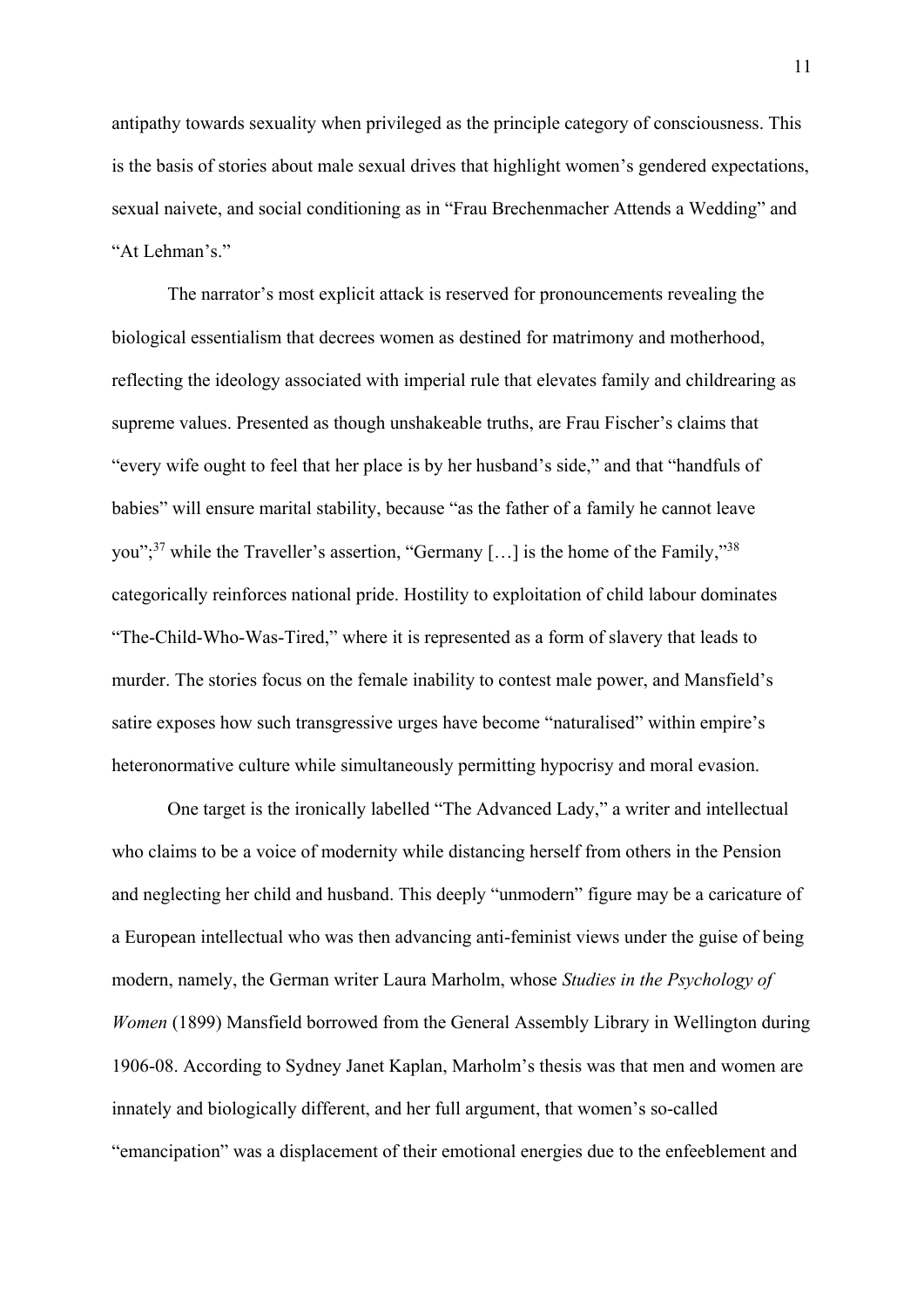antipathy towards sexuality when privileged as the principle category of consciousness. This is the basis of stories about male sexual drives that highlight women's gendered expectations, sexual naivete, and social conditioning as in "Frau Brechenmacher Attends a Wedding" and "At Lehman's."

The narrator's most explicit attack is reserved for pronouncements revealing the biological essentialism that decrees women as destined for matrimony and motherhood, reflecting the ideology associated with imperial rule that elevates family and childrearing as supreme values. Presented as though unshakeable truths, are Frau Fischer's claims that "every wife ought to feel that her place is by her husband's side," and that "handfuls of babies" will ensure marital stability, because "as the father of a family he cannot leave you";<sup>37</sup> while the Traveller's assertion, "Germany [...] is the home of the Family,"<sup>38</sup> categorically reinforces national pride. Hostility to exploitation of child labour dominates "The-Child-Who-Was-Tired," where it is represented as a form of slavery that leads to murder. The stories focus on the female inability to contest male power, and Mansfield's satire exposes how such transgressive urges have become "naturalised" within empire's heteronormative culture while simultaneously permitting hypocrisy and moral evasion.

One target is the ironically labelled "The Advanced Lady," a writer and intellectual who claims to be a voice of modernity while distancing herself from others in the Pension and neglecting her child and husband. This deeply "unmodern" figure may be a caricature of a European intellectual who was then advancing anti-feminist views under the guise of being modern, namely, the German writer Laura Marholm, whose *Studies in the Psychology of Women* (1899) Mansfield borrowed from the General Assembly Library in Wellington during 1906-08. According to Sydney Janet Kaplan, Marholm's thesis was that men and women are innately and biologically different, and her full argument, that women's so-called "emancipation" was a displacement of their emotional energies due to the enfeeblement and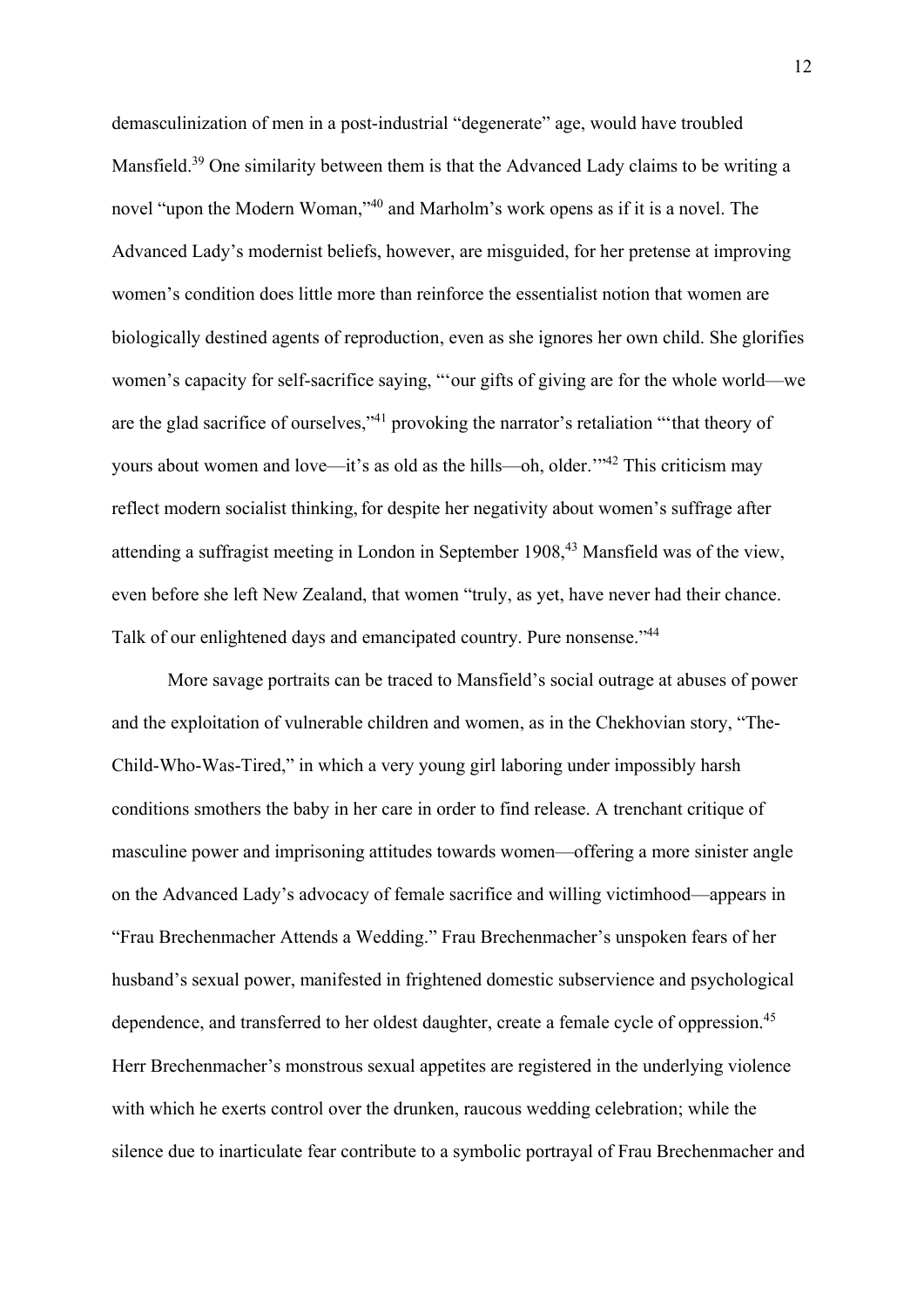demasculinization of men in a post-industrial "degenerate" age, would have troubled Mansfield.<sup>39</sup> One similarity between them is that the Advanced Lady claims to be writing a novel "upon the Modern Woman,"<sup>40</sup> and Marholm's work opens as if it is a novel. The Advanced Lady's modernist beliefs, however, are misguided, for her pretense at improving women's condition does little more than reinforce the essentialist notion that women are biologically destined agents of reproduction, even as she ignores her own child. She glorifies women's capacity for self-sacrifice saying, "'our gifts of giving are for the whole world—we are the glad sacrifice of ourselves,"<sup>41</sup> provoking the narrator's retaliation "that theory of yours about women and love—it's as old as the hills—oh, older.'"<sup>42</sup> This criticism may reflect modern socialist thinking, for despite her negativity about women's suffrage after attending a suffragist meeting in London in September 1908,<sup>43</sup> Mansfield was of the view, even before she left New Zealand, that women "truly, as yet, have never had their chance. Talk of our enlightened days and emancipated country. Pure nonsense."<sup>44</sup>

More savage portraits can be traced to Mansfield's social outrage at abuses of power and the exploitation of vulnerable children and women, as in the Chekhovian story, "The-Child-Who-Was-Tired," in which a very young girl laboring under impossibly harsh conditions smothers the baby in her care in order to find release. A trenchant critique of masculine power and imprisoning attitudes towards women—offering a more sinister angle on the Advanced Lady's advocacy of female sacrifice and willing victimhood—appears in "Frau Brechenmacher Attends a Wedding." Frau Brechenmacher's unspoken fears of her husband's sexual power, manifested in frightened domestic subservience and psychological dependence, and transferred to her oldest daughter, create a female cycle of oppression.<sup>45</sup> Herr Brechenmacher's monstrous sexual appetites are registered in the underlying violence with which he exerts control over the drunken, raucous wedding celebration; while the silence due to inarticulate fear contribute to a symbolic portrayal of Frau Brechenmacher and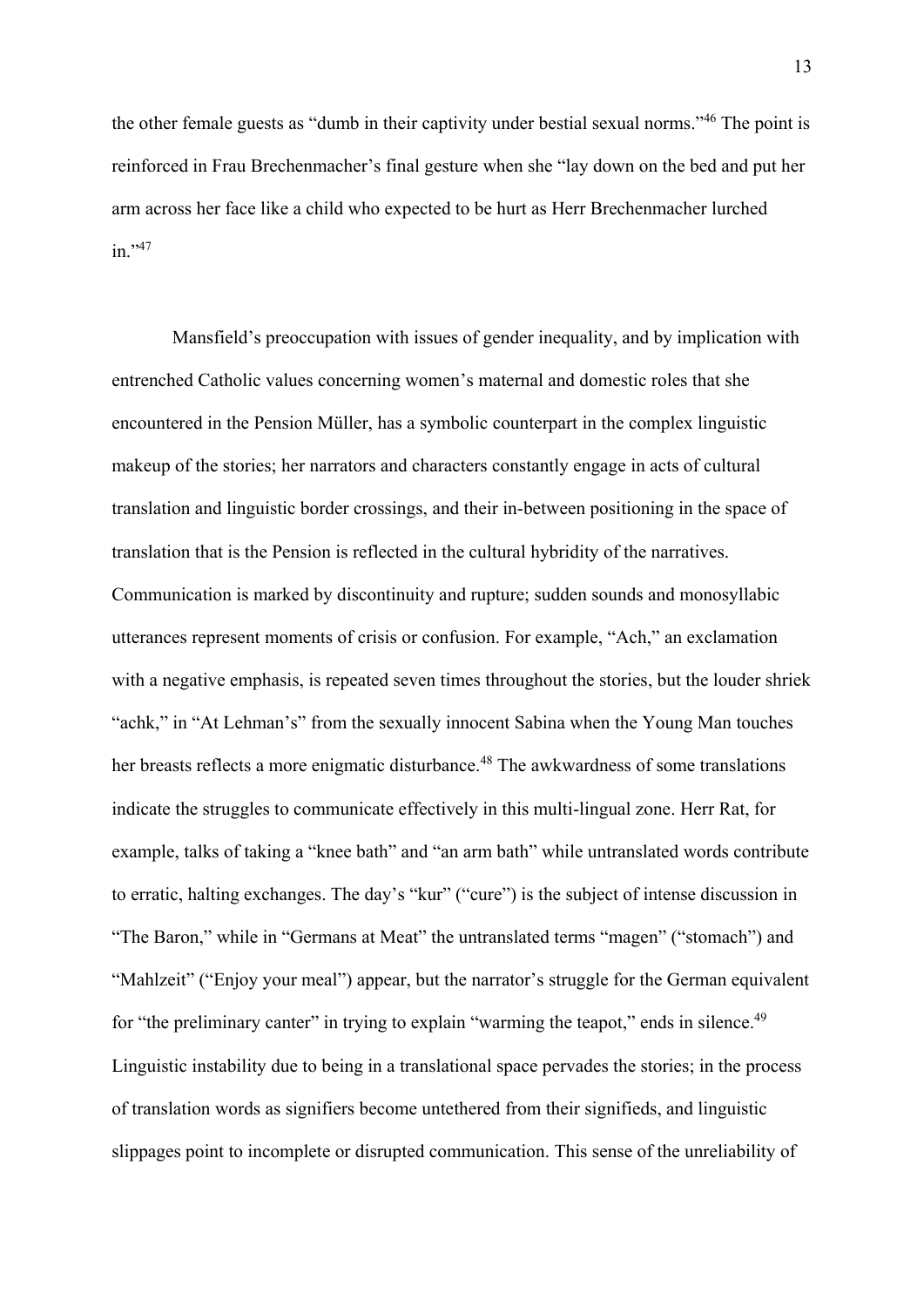the other female guests as "dumb in their captivity under bestial sexual norms."<sup>46</sup> The point is reinforced in Frau Brechenmacher's final gesture when she "lay down on the bed and put her arm across her face like a child who expected to be hurt as Herr Brechenmacher lurched in." 47

Mansfield's preoccupation with issues of gender inequality, and by implication with entrenched Catholic values concerning women's maternal and domestic roles that she encountered in the Pension Müller, has a symbolic counterpart in the complex linguistic makeup of the stories; her narrators and characters constantly engage in acts of cultural translation and linguistic border crossings, and their in-between positioning in the space of translation that is the Pension is reflected in the cultural hybridity of the narratives. Communication is marked by discontinuity and rupture; sudden sounds and monosyllabic utterances represent moments of crisis or confusion. For example, "Ach," an exclamation with a negative emphasis, is repeated seven times throughout the stories, but the louder shriek "achk," in "At Lehman's" from the sexually innocent Sabina when the Young Man touches her breasts reflects a more enigmatic disturbance.<sup>48</sup> The awkwardness of some translations indicate the struggles to communicate effectively in this multi-lingual zone. Herr Rat, for example, talks of taking a "knee bath" and "an arm bath" while untranslated words contribute to erratic, halting exchanges. The day's "kur" ("cure") is the subject of intense discussion in "The Baron," while in "Germans at Meat" the untranslated terms "magen" ("stomach") and "Mahlzeit" ("Enjoy your meal") appear, but the narrator's struggle for the German equivalent for "the preliminary canter" in trying to explain "warming the teapot," ends in silence.<sup>49</sup> Linguistic instability due to being in a translational space pervades the stories; in the process of translation words as signifiers become untethered from their signifieds, and linguistic slippages point to incomplete or disrupted communication. This sense of the unreliability of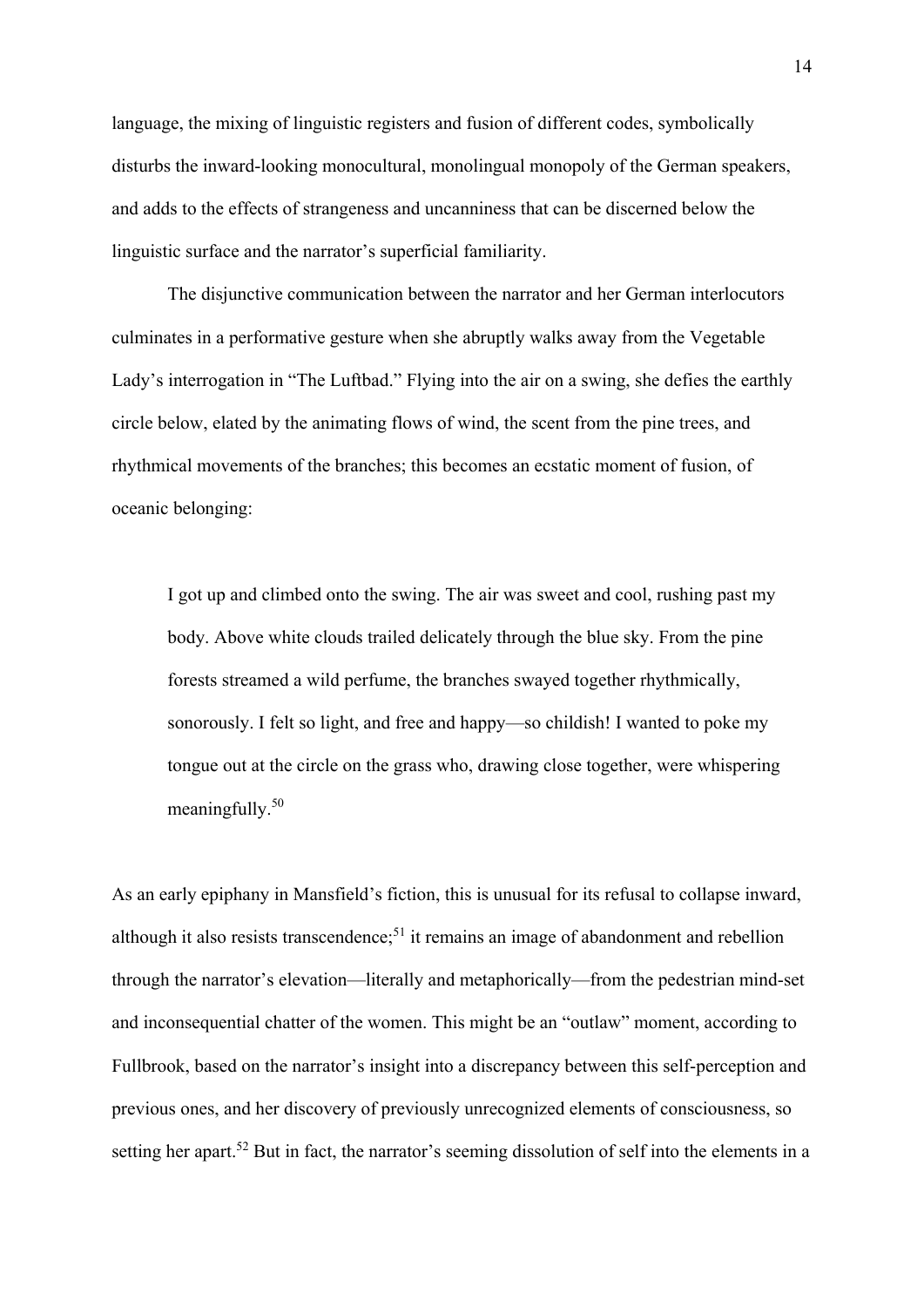language, the mixing of linguistic registers and fusion of different codes, symbolically disturbs the inward-looking monocultural, monolingual monopoly of the German speakers, and adds to the effects of strangeness and uncanniness that can be discerned below the linguistic surface and the narrator's superficial familiarity.

The disjunctive communication between the narrator and her German interlocutors culminates in a performative gesture when she abruptly walks away from the Vegetable Lady's interrogation in "The Luftbad." Flying into the air on a swing, she defies the earthly circle below, elated by the animating flows of wind, the scent from the pine trees, and rhythmical movements of the branches; this becomes an ecstatic moment of fusion, of oceanic belonging:

I got up and climbed onto the swing. The air was sweet and cool, rushing past my body. Above white clouds trailed delicately through the blue sky. From the pine forests streamed a wild perfume, the branches swayed together rhythmically, sonorously. I felt so light, and free and happy—so childish! I wanted to poke my tongue out at the circle on the grass who, drawing close together, were whispering meaningfully.<sup>50</sup>

As an early epiphany in Mansfield's fiction, this is unusual for its refusal to collapse inward, although it also resists transcendence;<sup>51</sup> it remains an image of abandonment and rebellion through the narrator's elevation—literally and metaphorically—from the pedestrian mind-set and inconsequential chatter of the women. This might be an "outlaw" moment, according to Fullbrook, based on the narrator's insight into a discrepancy between this self-perception and previous ones, and her discovery of previously unrecognized elements of consciousness, so setting her apart.<sup>52</sup> But in fact, the narrator's seeming dissolution of self into the elements in a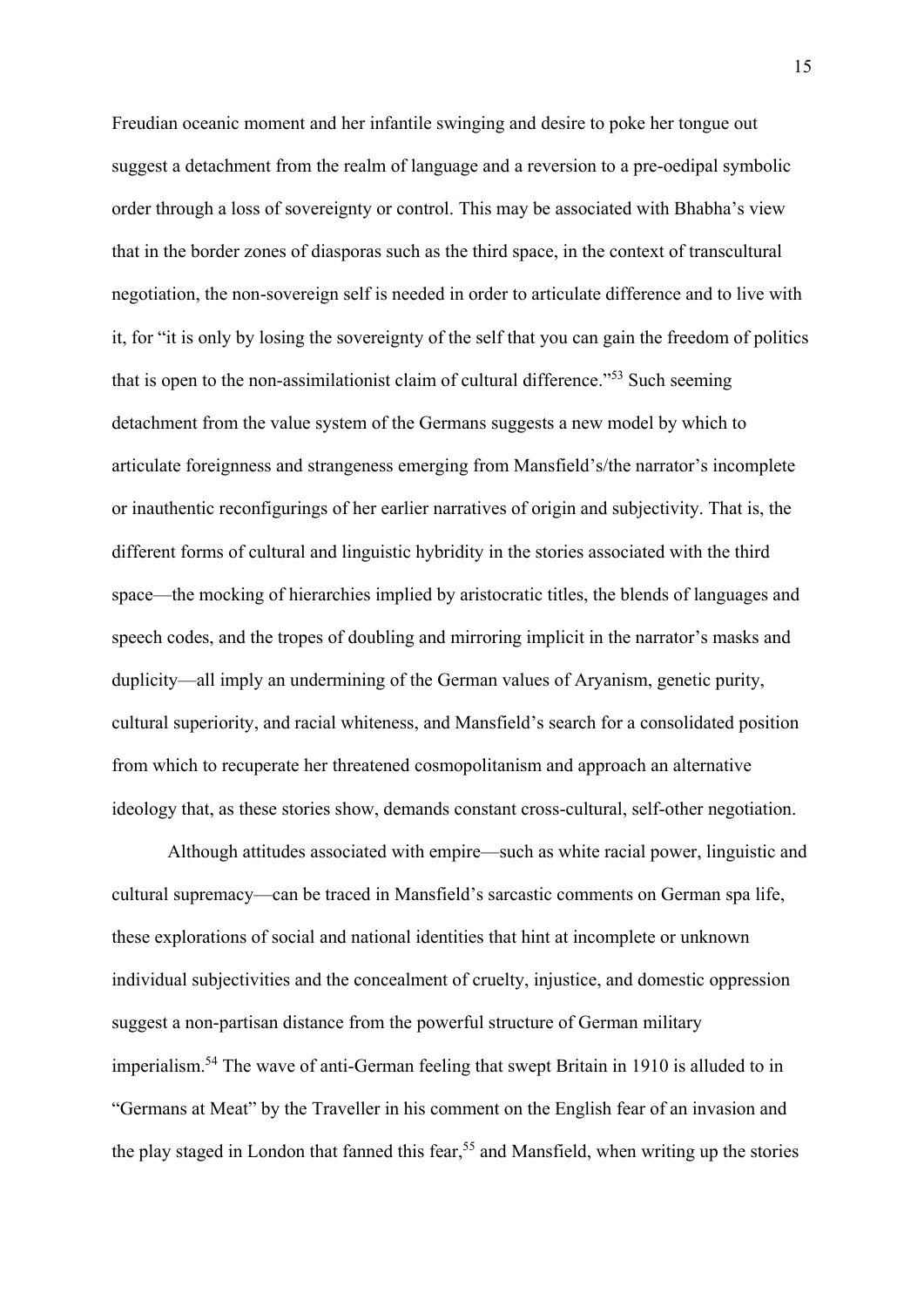Freudian oceanic moment and her infantile swinging and desire to poke her tongue out suggest a detachment from the realm of language and a reversion to a pre-oedipal symbolic order through a loss of sovereignty or control. This may be associated with Bhabha's view that in the border zones of diasporas such as the third space, in the context of transcultural negotiation, the non-sovereign self is needed in order to articulate difference and to live with it, for "it is only by losing the sovereignty of the self that you can gain the freedom of politics that is open to the non-assimilationist claim of cultural difference."<sup>53</sup> Such seeming detachment from the value system of the Germans suggests a new model by which to articulate foreignness and strangeness emerging from Mansfield's/the narrator's incomplete or inauthentic reconfigurings of her earlier narratives of origin and subjectivity. That is, the different forms of cultural and linguistic hybridity in the stories associated with the third space—the mocking of hierarchies implied by aristocratic titles, the blends of languages and speech codes, and the tropes of doubling and mirroring implicit in the narrator's masks and duplicity—all imply an undermining of the German values of Aryanism, genetic purity, cultural superiority, and racial whiteness, and Mansfield's search for a consolidated position from which to recuperate her threatened cosmopolitanism and approach an alternative ideology that, as these stories show, demands constant cross-cultural, self-other negotiation.

Although attitudes associated with empire—such as white racial power, linguistic and cultural supremacy—can be traced in Mansfield's sarcastic comments on German spa life, these explorations of social and national identities that hint at incomplete or unknown individual subjectivities and the concealment of cruelty, injustice, and domestic oppression suggest a non-partisan distance from the powerful structure of German military imperialism.<sup>54</sup> The wave of anti-German feeling that swept Britain in 1910 is alluded to in "Germans at Meat" by the Traveller in his comment on the English fear of an invasion and the play staged in London that fanned this fear,<sup>55</sup> and Mansfield, when writing up the stories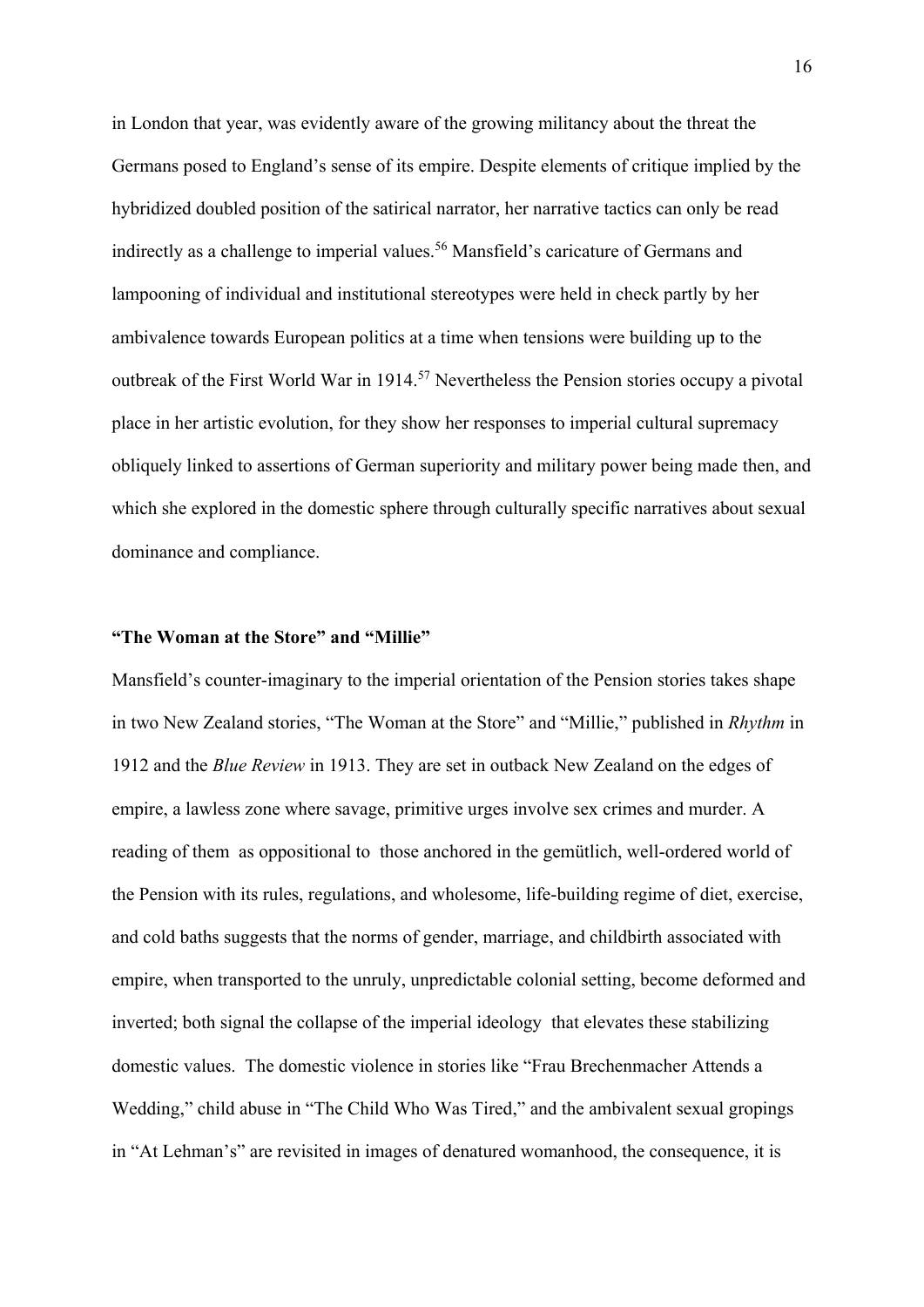in London that year, was evidently aware of the growing militancy about the threat the Germans posed to England's sense of its empire. Despite elements of critique implied by the hybridized doubled position of the satirical narrator, her narrative tactics can only be read indirectly as a challenge to imperial values.<sup>56</sup> Mansfield's caricature of Germans and lampooning of individual and institutional stereotypes were held in check partly by her ambivalence towards European politics at a time when tensions were building up to the outbreak of the First World War in 1914.<sup>57</sup> Nevertheless the Pension stories occupy a pivotal place in her artistic evolution, for they show her responses to imperial cultural supremacy obliquely linked to assertions of German superiority and military power being made then, and which she explored in the domestic sphere through culturally specific narratives about sexual dominance and compliance.

#### **"The Woman at the Store" and "Millie"**

Mansfield's counter-imaginary to the imperial orientation of the Pension stories takes shape in two New Zealand stories, "The Woman at the Store" and "Millie," published in *Rhythm* in 1912 and the *Blue Review* in 1913. They are set in outback New Zealand on the edges of empire, a lawless zone where savage, primitive urges involve sex crimes and murder. A reading of them as oppositional to those anchored in the gemütlich, well-ordered world of the Pension with its rules, regulations, and wholesome, life-building regime of diet, exercise, and cold baths suggests that the norms of gender, marriage, and childbirth associated with empire, when transported to the unruly, unpredictable colonial setting, become deformed and inverted; both signal the collapse of the imperial ideology that elevates these stabilizing domestic values. The domestic violence in stories like "Frau Brechenmacher Attends a Wedding," child abuse in "The Child Who Was Tired," and the ambivalent sexual gropings in "At Lehman's" are revisited in images of denatured womanhood, the consequence, it is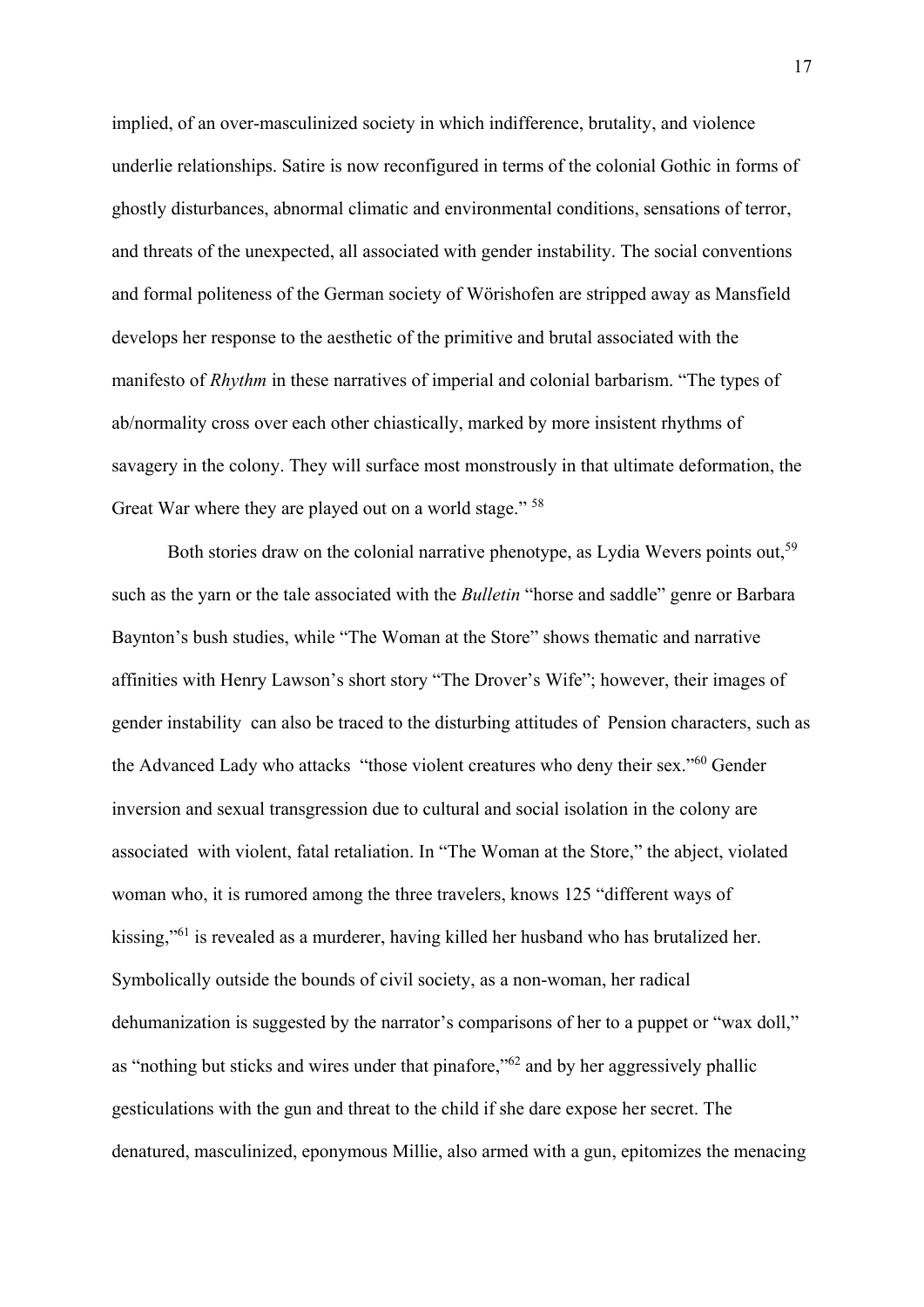implied, of an over-masculinized society in which indifference, brutality, and violence underlie relationships. Satire is now reconfigured in terms of the colonial Gothic in forms of ghostly disturbances, abnormal climatic and environmental conditions, sensations of terror, and threats of the unexpected, all associated with gender instability. The social conventions and formal politeness of the German society of Wörishofen are stripped away as Mansfield develops her response to the aesthetic of the primitive and brutal associated with the manifesto of *Rhythm* in these narratives of imperial and colonial barbarism. "The types of ab/normality cross over each other chiastically, marked by more insistent rhythms of savagery in the colony. They will surface most monstrously in that ultimate deformation, the Great War where they are played out on a world stage." <sup>58</sup>

Both stories draw on the colonial narrative phenotype, as Lydia Wevers points out,<sup>59</sup> such as the yarn or the tale associated with the *Bulletin* "horse and saddle" genre or Barbara Baynton's bush studies, while "The Woman at the Store" shows thematic and narrative affinities with Henry Lawson's short story "The Drover's Wife"; however, their images of gender instability can also be traced to the disturbing attitudes of Pension characters, such as the Advanced Lady who attacks "those violent creatures who deny their sex."<sup>60</sup> Gender inversion and sexual transgression due to cultural and social isolation in the colony are associated with violent, fatal retaliation. In "The Woman at the Store," the abject, violated woman who, it is rumored among the three travelers, knows 125 "different ways of kissing,"<sup>61</sup> is revealed as a murderer, having killed her husband who has brutalized her. Symbolically outside the bounds of civil society, as a non-woman, her radical dehumanization is suggested by the narrator's comparisons of her to a puppet or "wax doll," as "nothing but sticks and wires under that pinafore,"<sup>62</sup> and by her aggressively phallic gesticulations with the gun and threat to the child if she dare expose her secret. The denatured, masculinized, eponymous Millie, also armed with a gun, epitomizes the menacing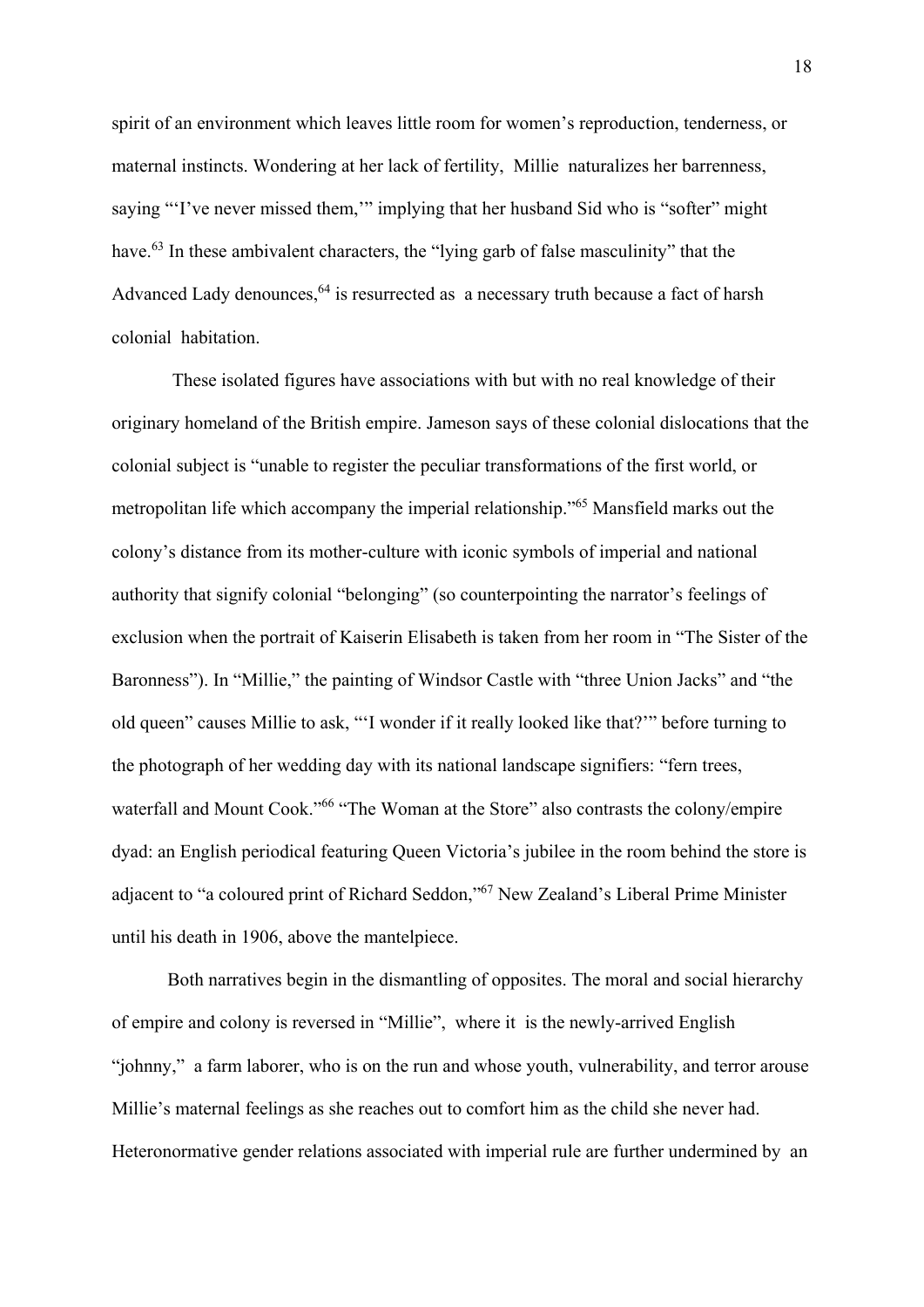spirit of an environment which leaves little room for women's reproduction, tenderness, or maternal instincts. Wondering at her lack of fertility, Millie naturalizes her barrenness, saying "'I've never missed them," implying that her husband Sid who is "softer" might have.<sup>63</sup> In these ambivalent characters, the "lying garb of false masculinity" that the Advanced Lady denounces, <sup>64</sup> is resurrected as a necessary truth because a fact of harsh colonial habitation.

These isolated figures have associations with but with no real knowledge of their originary homeland of the British empire. Jameson says of these colonial dislocations that the colonial subject is "unable to register the peculiar transformations of the first world, or metropolitan life which accompany the imperial relationship."<sup>65</sup> Mansfield marks out the colony's distance from its mother-culture with iconic symbols of imperial and national authority that signify colonial "belonging" (so counterpointing the narrator's feelings of exclusion when the portrait of Kaiserin Elisabeth is taken from her room in "The Sister of the Baronness"). In "Millie," the painting of Windsor Castle with "three Union Jacks" and "the old queen" causes Millie to ask, "'I wonder if it really looked like that?'" before turning to the photograph of her wedding day with its national landscape signifiers: "fern trees, waterfall and Mount Cook."<sup>66</sup> "The Woman at the Store" also contrasts the colony/empire dyad: an English periodical featuring Queen Victoria's jubilee in the room behind the store is adjacent to "a coloured print of Richard Seddon," <sup>67</sup> New Zealand's Liberal Prime Minister until his death in 1906, above the mantelpiece.

Both narratives begin in the dismantling of opposites. The moral and social hierarchy of empire and colony is reversed in "Millie", where it is the newly-arrived English "johnny," a farm laborer, who is on the run and whose youth, vulnerability, and terror arouse Millie's maternal feelings as she reaches out to comfort him as the child she never had. Heteronormative gender relations associated with imperial rule are further undermined by an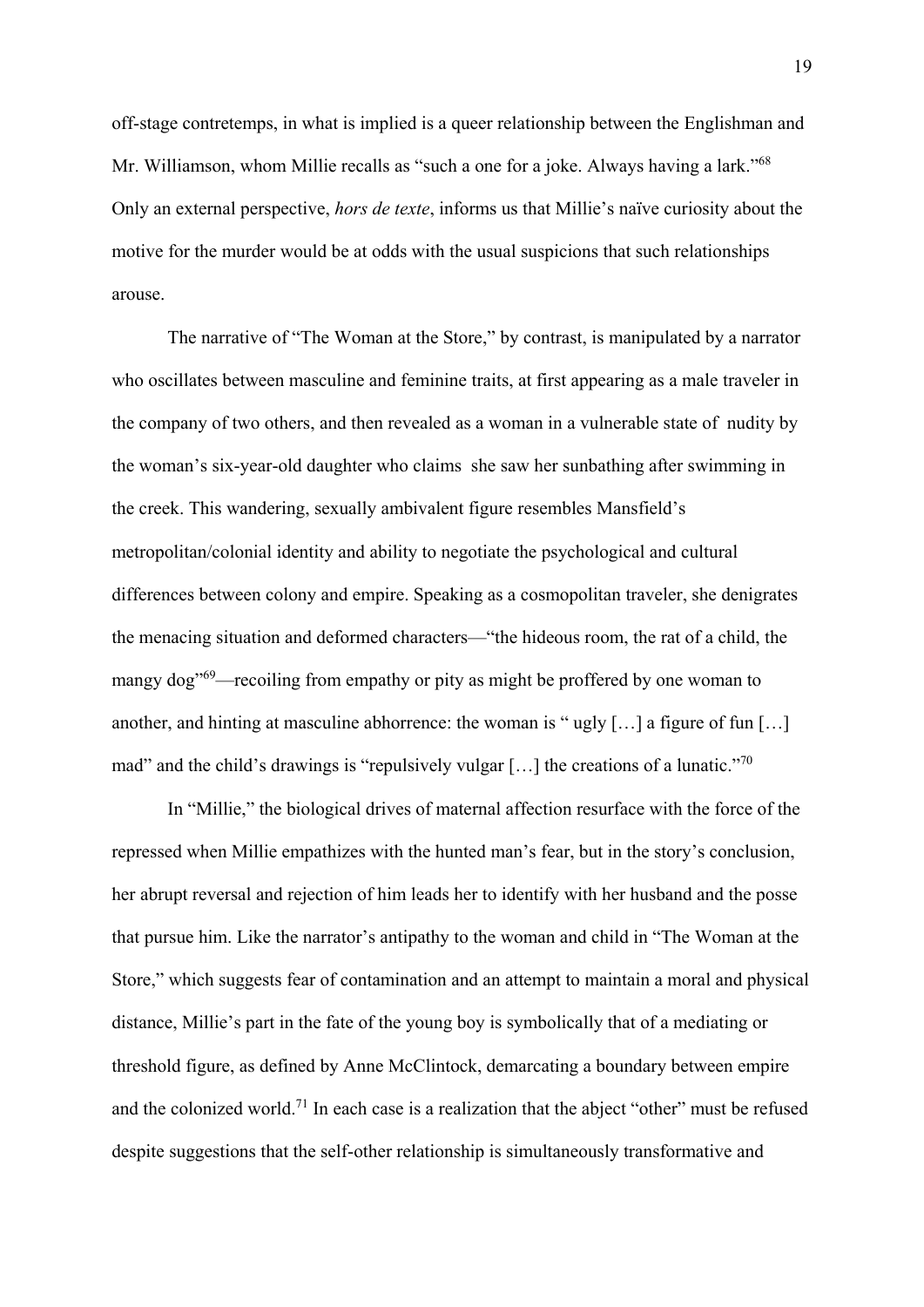off-stage contretemps, in what is implied is a queer relationship between the Englishman and Mr. Williamson, whom Millie recalls as "such a one for a joke. Always having a lark."<sup>68</sup> Only an external perspective, *hors de texte*, informs us that Millie's naïve curiosity about the motive for the murder would be at odds with the usual suspicions that such relationships arouse.

The narrative of "The Woman at the Store," by contrast, is manipulated by a narrator who oscillates between masculine and feminine traits, at first appearing as a male traveler in the company of two others, and then revealed as a woman in a vulnerable state of nudity by the woman's six-year-old daughter who claims she saw her sunbathing after swimming in the creek. This wandering, sexually ambivalent figure resembles Mansfield's metropolitan/colonial identity and ability to negotiate the psychological and cultural differences between colony and empire. Speaking as a cosmopolitan traveler, she denigrates the menacing situation and deformed characters—"the hideous room, the rat of a child, the mangy dog<sup>"69</sup>—recoiling from empathy or pity as might be proffered by one woman to another, and hinting at masculine abhorrence: the woman is " ugly [...] a figure of fun [...] mad" and the child's drawings is "repulsively vulgar [...] the creations of a lunatic."<sup>70</sup>

In "Millie," the biological drives of maternal affection resurface with the force of the repressed when Millie empathizes with the hunted man's fear, but in the story's conclusion, her abrupt reversal and rejection of him leads her to identify with her husband and the posse that pursue him. Like the narrator's antipathy to the woman and child in "The Woman at the Store," which suggests fear of contamination and an attempt to maintain a moral and physical distance, Millie's part in the fate of the young boy is symbolically that of a mediating or threshold figure, as defined by Anne McClintock, demarcating a boundary between empire and the colonized world.<sup>71</sup> In each case is a realization that the abject "other" must be refused despite suggestions that the self-other relationship is simultaneously transformative and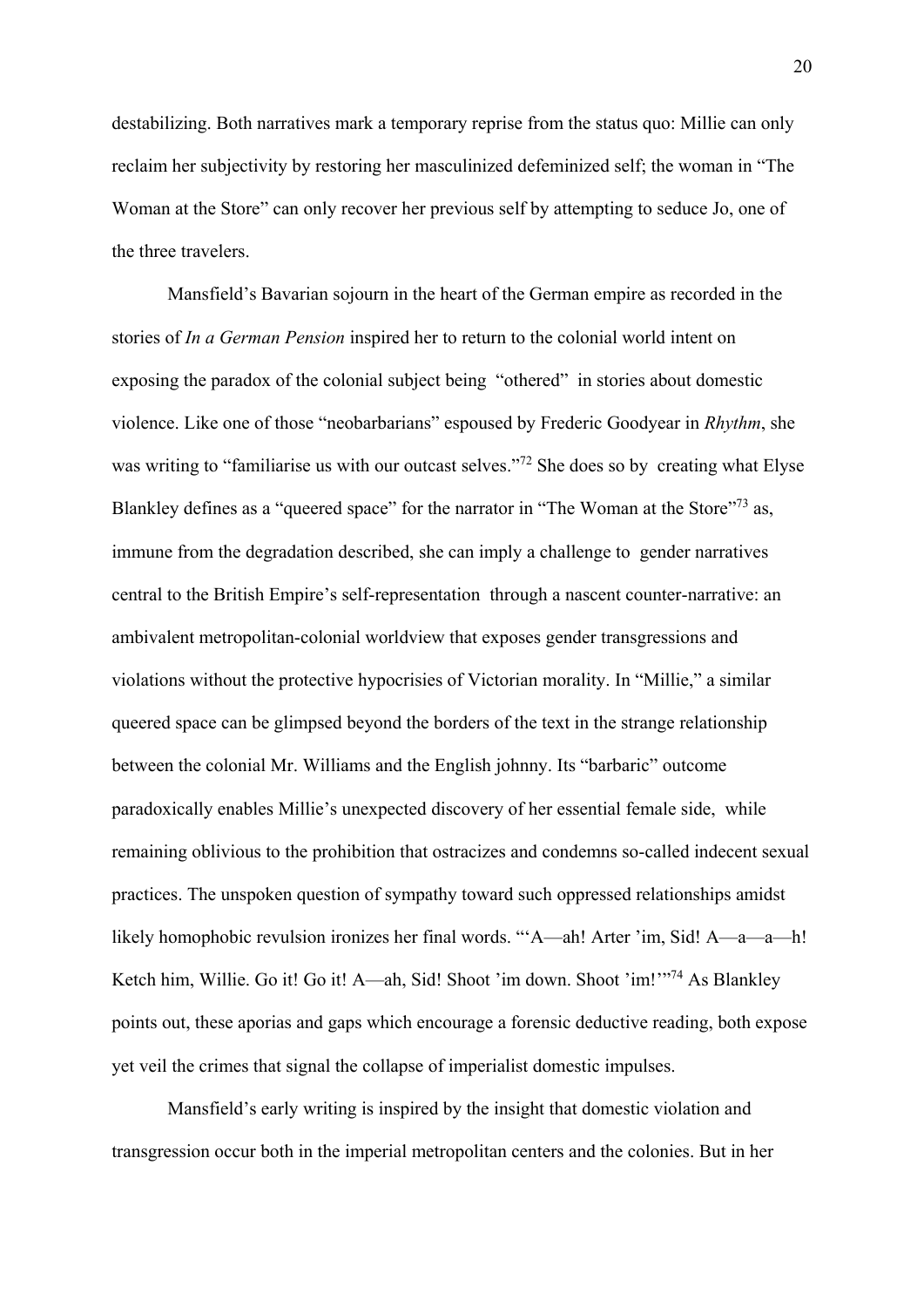destabilizing. Both narratives mark a temporary reprise from the status quo: Millie can only reclaim her subjectivity by restoring her masculinized defeminized self; the woman in "The Woman at the Store" can only recover her previous self by attempting to seduce Jo, one of the three travelers.

Mansfield's Bavarian sojourn in the heart of the German empire as recorded in the stories of *In a German Pension* inspired her to return to the colonial world intent on exposing the paradox of the colonial subject being "othered" in stories about domestic violence. Like one of those "neobarbarians" espoused by Frederic Goodyear in *Rhythm*, she was writing to "familiarise us with our outcast selves."<sup>72</sup> She does so by creating what Elyse Blankley defines as a "queered space" for the narrator in "The Woman at the Store"<sup>73</sup> as, immune from the degradation described, she can imply a challenge to gender narratives central to the British Empire's self-representation through a nascent counter-narrative: an ambivalent metropolitan-colonial worldview that exposes gender transgressions and violations without the protective hypocrisies of Victorian morality. In "Millie," a similar queered space can be glimpsed beyond the borders of the text in the strange relationship between the colonial Mr. Williams and the English johnny. Its "barbaric" outcome paradoxically enables Millie's unexpected discovery of her essential female side, while remaining oblivious to the prohibition that ostracizes and condemns so-called indecent sexual practices. The unspoken question of sympathy toward such oppressed relationships amidst likely homophobic revulsion ironizes her final words. "'A—ah! Arter 'im, Sid! A—a—a—h! Ketch him, Willie. Go it! Go it! A—ah, Sid! Shoot 'im down. Shoot 'im!'"<sup>74</sup> As Blankley points out, these aporias and gaps which encourage a forensic deductive reading, both expose yet veil the crimes that signal the collapse of imperialist domestic impulses.

Mansfield's early writing is inspired by the insight that domestic violation and transgression occur both in the imperial metropolitan centers and the colonies. But in her

20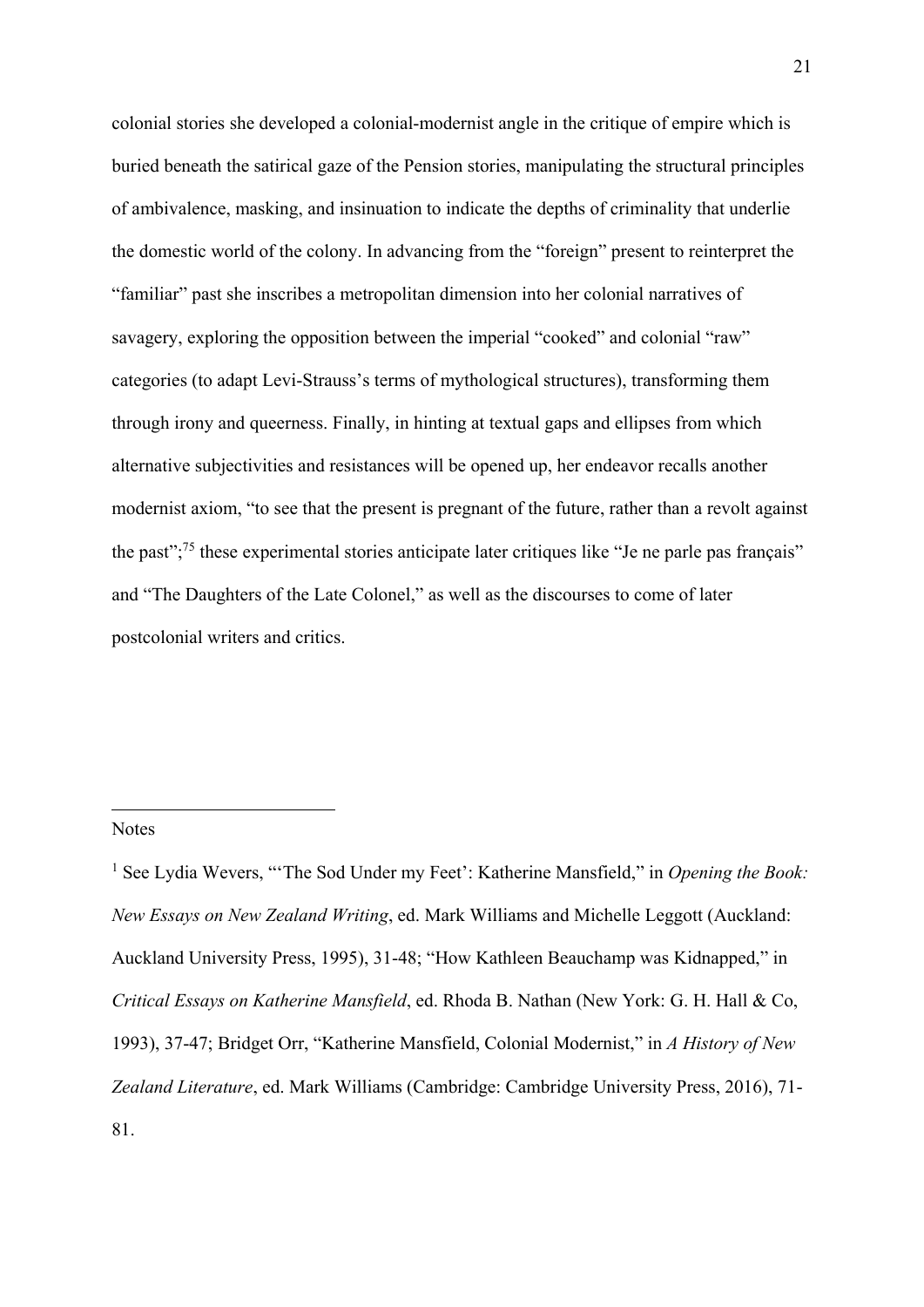colonial stories she developed a colonial-modernist angle in the critique of empire which is buried beneath the satirical gaze of the Pension stories, manipulating the structural principles of ambivalence, masking, and insinuation to indicate the depths of criminality that underlie the domestic world of the colony. In advancing from the "foreign" present to reinterpret the "familiar" past she inscribes a metropolitan dimension into her colonial narratives of savagery, exploring the opposition between the imperial "cooked" and colonial "raw" categories (to adapt Levi-Strauss's terms of mythological structures), transforming them through irony and queerness. Finally, in hinting at textual gaps and ellipses from which alternative subjectivities and resistances will be opened up, her endeavor recalls another modernist axiom, "to see that the present is pregnant of the future, rather than a revolt against the past";<sup>75</sup> these experimental stories anticipate later critiques like "Je ne parle pas français" and "The Daughters of the Late Colonel," as well as the discourses to come of later postcolonial writers and critics.

#### **Notes**

**.** 

<sup>1</sup> See Lydia Wevers, "The Sod Under my Feet': Katherine Mansfield," in *Opening the Book: New Essays on New Zealand Writing*, ed. Mark Williams and Michelle Leggott (Auckland: Auckland University Press, 1995), 31-48; "How Kathleen Beauchamp was Kidnapped," in *Critical Essays on Katherine Mansfield*, ed. Rhoda B. Nathan (New York: G. H. Hall & Co, 1993), 37-47; Bridget Orr, "Katherine Mansfield, Colonial Modernist," in *A History of New Zealand Literature*, ed. Mark Williams (Cambridge: Cambridge University Press, 2016), 71- 81.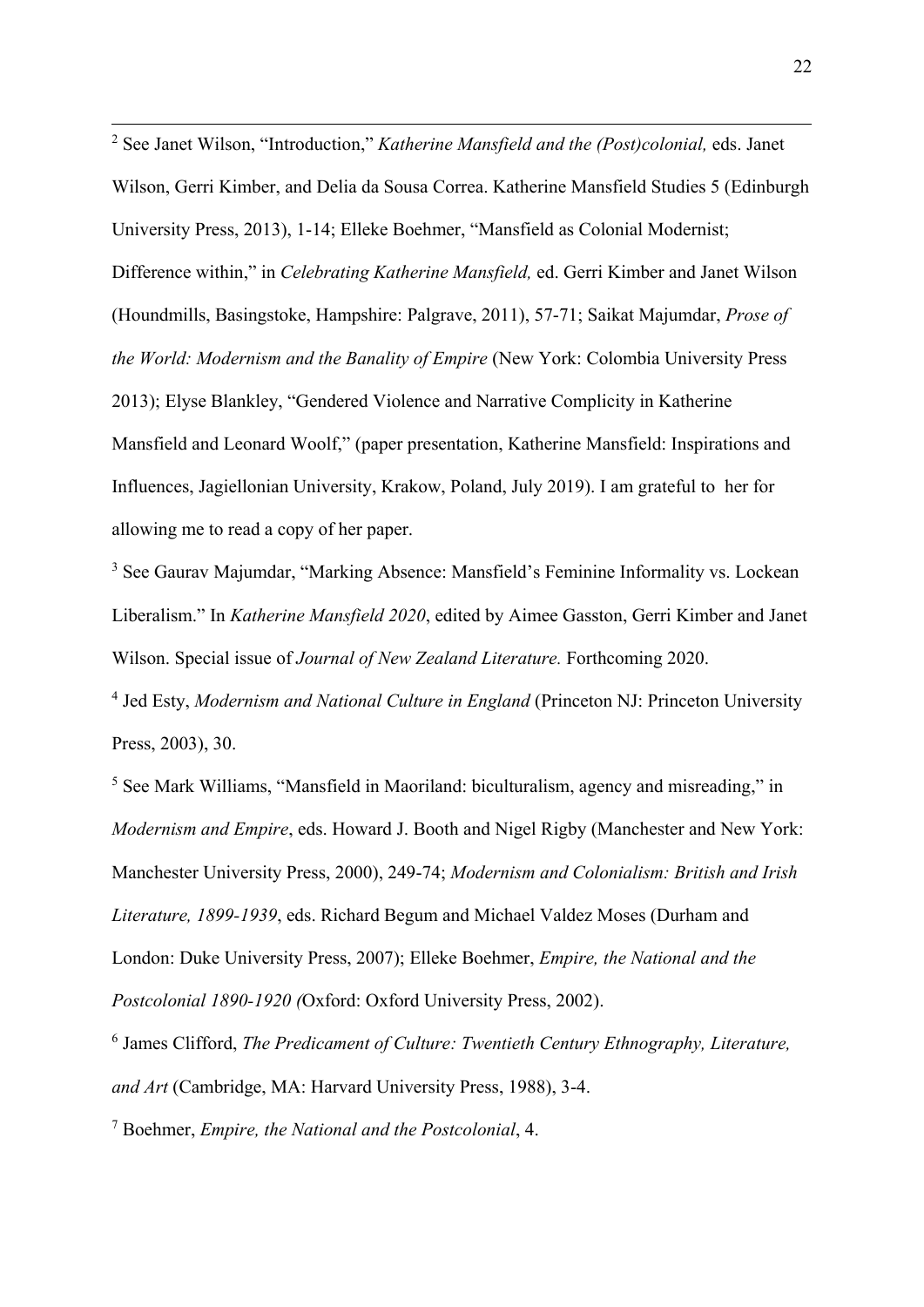<sup>2</sup> See Janet Wilson, "Introduction," *Katherine Mansfield and the (Post)colonial,* eds. Janet Wilson, Gerri Kimber, and Delia da Sousa Correa. Katherine Mansfield Studies 5 (Edinburgh University Press, 2013), 1-14; Elleke Boehmer, "Mansfield as Colonial Modernist; Difference within," in *Celebrating Katherine Mansfield,* ed. Gerri Kimber and Janet Wilson (Houndmills, Basingstoke, Hampshire: Palgrave, 2011), 57-71; Saikat Majumdar, *Prose of the World: Modernism and the Banality of Empire* (New York: Colombia University Press 2013); Elyse Blankley, "Gendered Violence and Narrative Complicity in Katherine Mansfield and Leonard Woolf," (paper presentation, Katherine Mansfield: Inspirations and Influences, Jagiellonian University, Krakow, Poland, July 2019). I am grateful to her for allowing me to read a copy of her paper.

**.** 

<sup>3</sup> See Gaurav Majumdar, "Marking Absence: Mansfield's Feminine Informality vs. Lockean Liberalism." In *Katherine Mansfield 2020*, edited by Aimee Gasston, Gerri Kimber and Janet Wilson. Special issue of *Journal of New Zealand Literature.* Forthcoming 2020.

<sup>4</sup> Jed Esty, Modernism and National Culture in England (Princeton NJ: Princeton University Press, 2003), 30.

<sup>5</sup> See Mark Williams, "Mansfield in Maoriland: biculturalism, agency and misreading," in *Modernism and Empire*, eds. Howard J. Booth and Nigel Rigby (Manchester and New York: Manchester University Press, 2000), 249-74; *Modernism and Colonialism: British and Irish Literature, 1899-1939*, eds. Richard Begum and Michael Valdez Moses (Durham and London: Duke University Press, 2007); Elleke Boehmer, *Empire, the National and the Postcolonial 1890-1920 (*Oxford: Oxford University Press, 2002).

6 James Clifford, *The Predicament of Culture: Twentieth Century Ethnography, Literature, and Art* (Cambridge, MA: Harvard University Press, 1988), 3-4.

<sup>7</sup> Boehmer, *Empire, the National and the Postcolonial*, 4.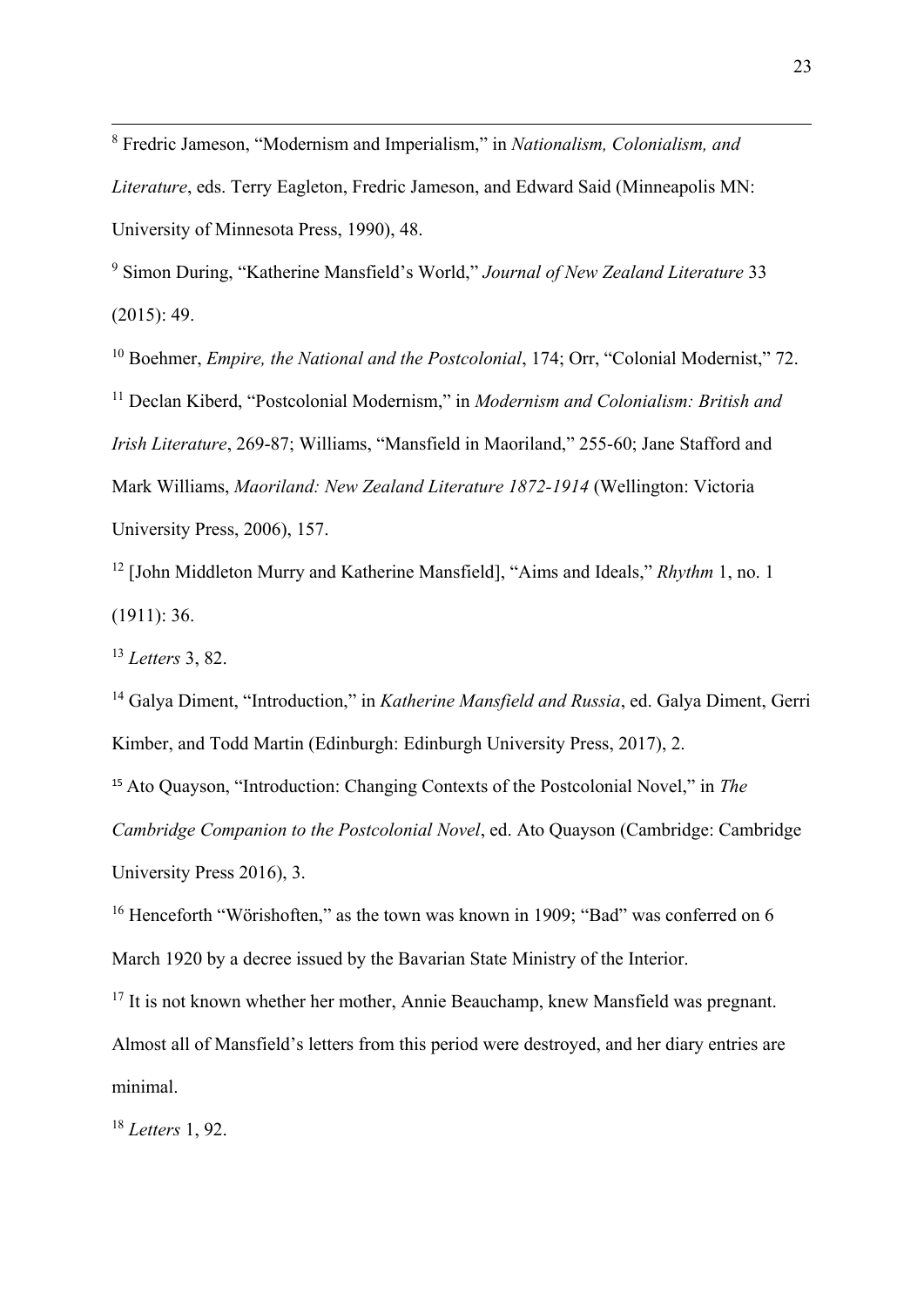<sup>8</sup> Fredric Jameson, "Modernism and Imperialism," in *Nationalism, Colonialism, and Literature*, eds. Terry Eagleton, Fredric Jameson, and Edward Said (Minneapolis MN: University of Minnesota Press, 1990), 48.

<sup>9</sup> Simon During, "Katherine Mansfield's World," *Journal of New Zealand Literature* 33 (2015): 49.

<sup>10</sup> Boehmer, *Empire, the National and the Postcolonial*, 174; Orr, "Colonial Modernist," 72. <sup>11</sup> Declan Kiberd, "Postcolonial Modernism," in *Modernism and Colonialism: British and Irish Literature*, 269-87; Williams, "Mansfield in Maoriland," 255-60; Jane Stafford and Mark Williams, *Maoriland: New Zealand Literature 1872-1914* (Wellington: Victoria University Press, 2006), 157.

<sup>12</sup> [John Middleton Murry and Katherine Mansfield], "Aims and Ideals," *Rhythm* 1, no. 1 (1911): 36.

<sup>13</sup> *Letters* 3, 82.

**.** 

<sup>14</sup> Galya Diment, "Introduction," in *Katherine Mansfield and Russia*, ed. Galya Diment, Gerri Kimber, and Todd Martin (Edinburgh: Edinburgh University Press, 2017), 2.

<sup>15</sup> Ato Quayson, "Introduction: Changing Contexts of the Postcolonial Novel," in *The Cambridge Companion to the Postcolonial Novel*, ed. Ato Quayson (Cambridge: Cambridge University Press 2016), 3.

<sup>16</sup> Henceforth "Wörishoften," as the town was known in 1909; "Bad" was conferred on 6 March 1920 by a decree issued by the Bavarian State Ministry of the Interior.

 $17$  It is not known whether her mother, Annie Beauchamp, knew Mansfield was pregnant. Almost all of Mansfield's letters from this period were destroyed, and her diary entries are minimal.

<sup>18</sup> *Letters* 1, 92.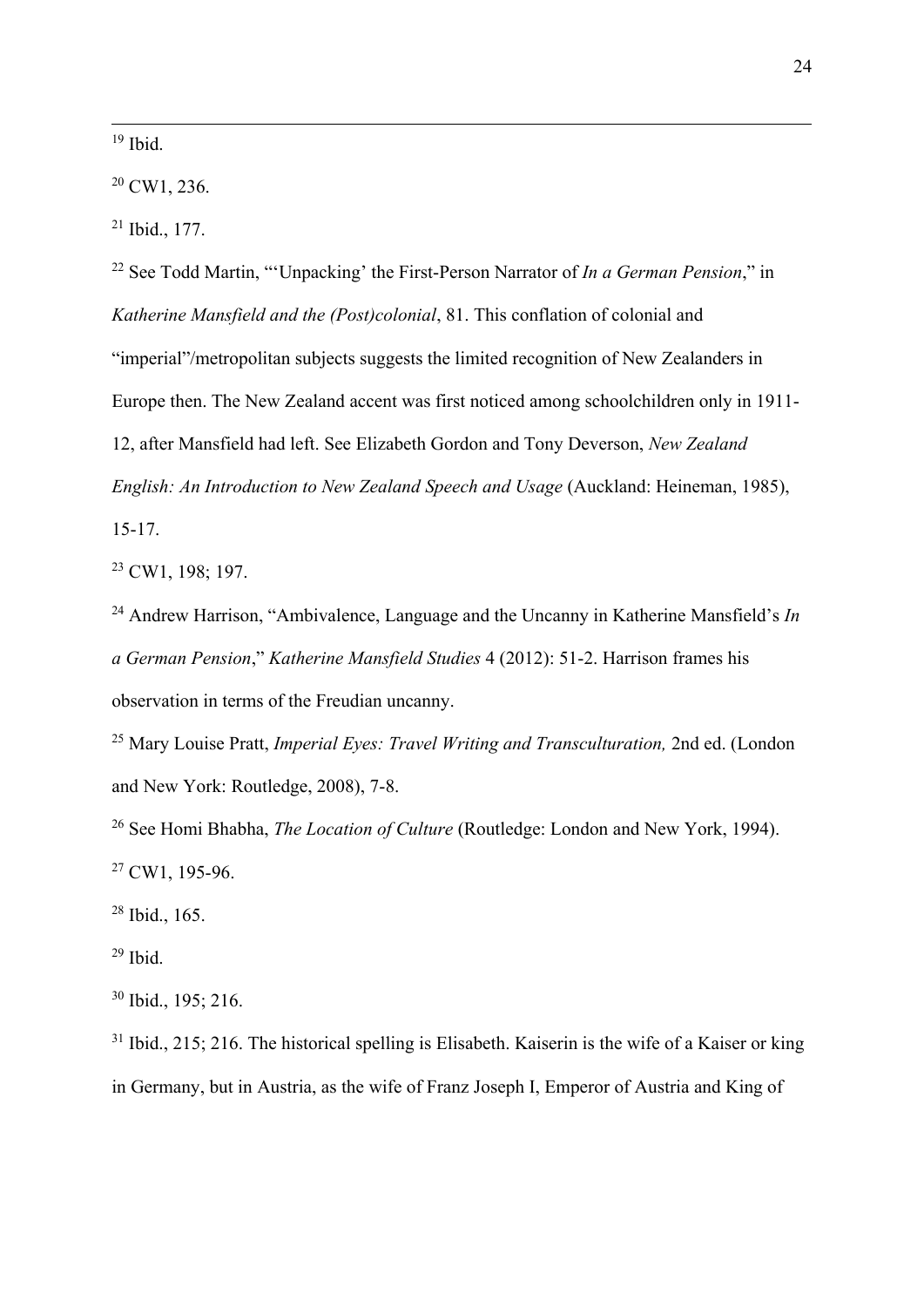$19$  Ibid.

**.** 

 $20$  CW1, 236.

<sup>21</sup> Ibid., 177.

<sup>22</sup> See Todd Martin, "'Unpacking' the First-Person Narrator of *In a German Pension*," in *Katherine Mansfield and the (Post)colonial*, 81. This conflation of colonial and "imperial"/metropolitan subjects suggests the limited recognition of New Zealanders in Europe then. The New Zealand accent was first noticed among schoolchildren only in 1911- 12, after Mansfield had left. See Elizabeth Gordon and Tony Deverson, *New Zealand English: An Introduction to New Zealand Speech and Usage* (Auckland: Heineman, 1985), 15-17.

<sup>23</sup> CW1, 198; 197.

<sup>24</sup> Andrew Harrison, "Ambivalence, Language and the Uncanny in Katherine Mansfield's *In a German Pension*," *Katherine Mansfield Studies* 4 (2012): 51-2. Harrison frames his observation in terms of the Freudian uncanny.

<sup>25</sup> Mary Louise Pratt, *Imperial Eyes: Travel Writing and Transculturation,* 2nd ed. (London and New York: Routledge, 2008), 7-8.

<sup>26</sup> See Homi Bhabha, *The Location of Culture* (Routledge: London and New York, 1994). <sup>27</sup> CW1, 195-96.

<sup>28</sup> Ibid., 165.

 $29$  Ibid.

<sup>30</sup> Ibid., 195; 216.

 $31$  Ibid., 215; 216. The historical spelling is Elisabeth. Kaiserin is the wife of a Kaiser or king in Germany, but in Austria, as the wife of Franz Joseph I, Emperor of Austria and King of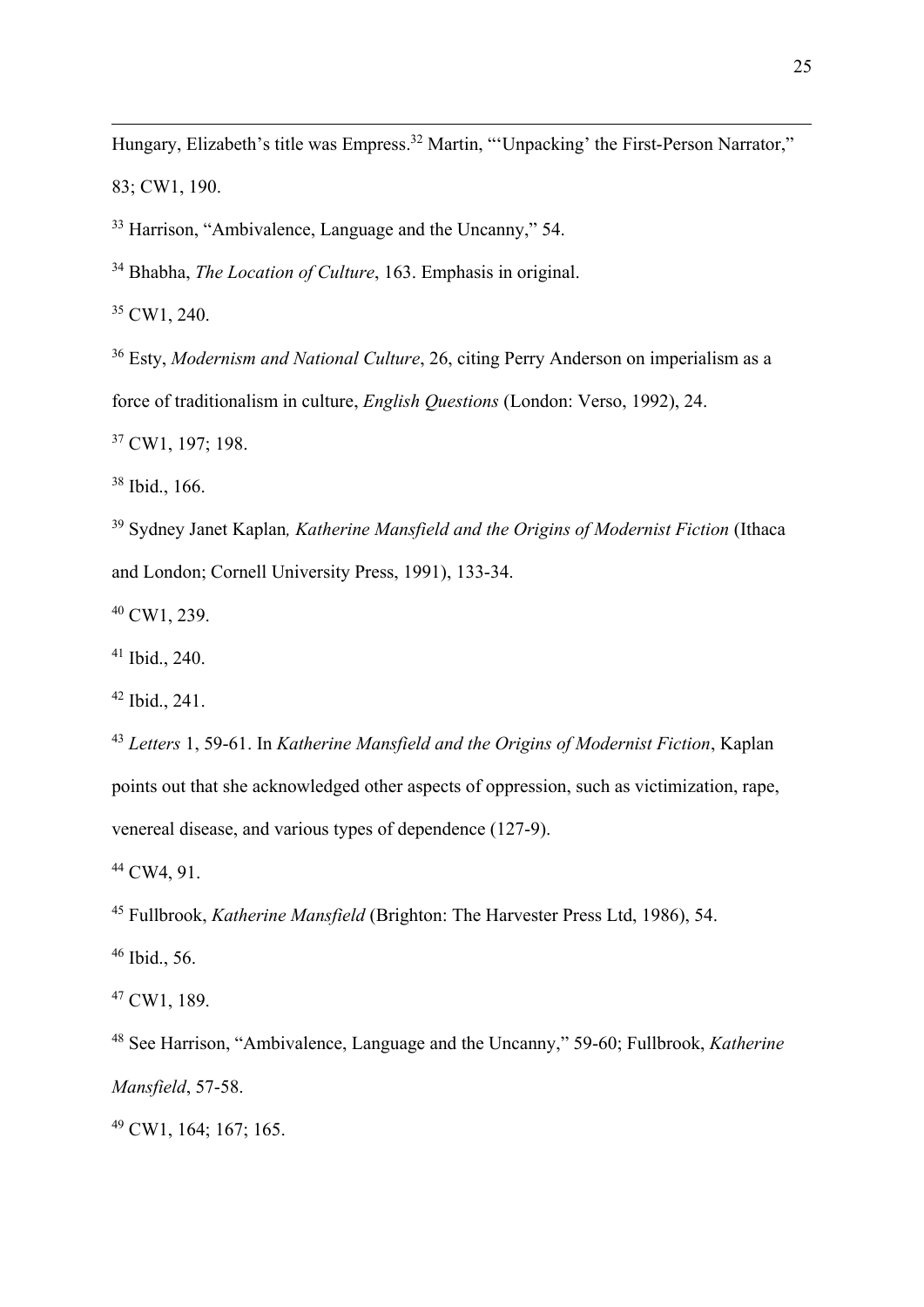Hungary, Elizabeth's title was Empress.<sup>32</sup> Martin, "'Unpacking' the First-Person Narrator," 83; CW1, 190.

Harrison, "Ambivalence, Language and the Uncanny," 54.

Bhabha, *The Location of Culture*, 163. Emphasis in original.

CW1, 240.

**.** 

 Esty, *Modernism and National Culture*, 26, citing Perry Anderson on imperialism as a force of traditionalism in culture, *English Questions* (London: Verso, 1992), 24.

CW1, 197; 198.

Ibid., 166.

 Sydney Janet Kaplan*, Katherine Mansfield and the Origins of Modernist Fiction* (Ithaca and London; Cornell University Press, 1991), 133-34.

CW1, 239.

Ibid., 240.

Ibid., 241.

 *Letters* 1, 59-61. In *Katherine Mansfield and the Origins of Modernist Fiction*, Kaplan points out that she acknowledged other aspects of oppression, such as victimization, rape, venereal disease, and various types of dependence (127-9).

CW4, 91.

Fullbrook, *Katherine Mansfield* (Brighton: The Harvester Press Ltd, 1986), 54.

Ibid., 56.

CW1, 189.

 See Harrison, "Ambivalence, Language and the Uncanny," 59-60; Fullbrook, *Katherine Mansfield*, 57-58.

CW1, 164; 167; 165.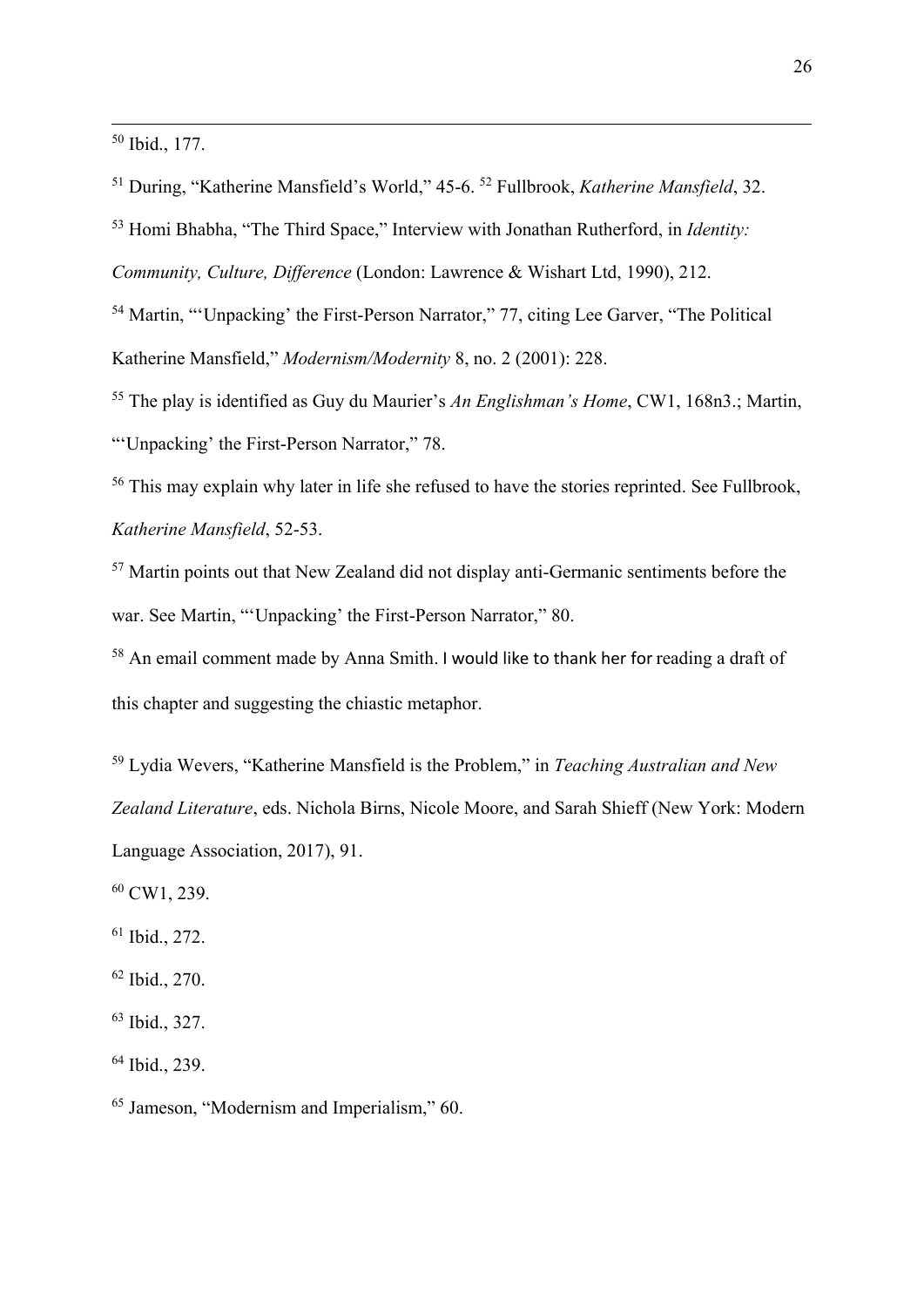<sup>50</sup> Ibid., 177.

**.** 

<sup>51</sup> During, "Katherine Mansfield's World," 45-6. <sup>52</sup> Fullbrook, *Katherine Mansfield*, 32.

<sup>53</sup> Homi Bhabha, "The Third Space," Interview with Jonathan Rutherford, in *Identity:* 

*Community, Culture, Difference* (London: Lawrence & Wishart Ltd, 1990), 212.

<sup>54</sup> Martin, "'Unpacking' the First-Person Narrator," 77, citing Lee Garver, "The Political Katherine Mansfield," *Modernism/Modernity* 8, no. 2 (2001): 228.

<sup>55</sup> The play is identified as Guy du Maurier's *An Englishman's Home*, CW1, 168n3.; Martin, "'Unpacking' the First-Person Narrator," 78.

 $56$  This may explain why later in life she refused to have the stories reprinted. See Fullbrook, *Katherine Mansfield*, 52-53.

<sup>57</sup> Martin points out that New Zealand did not display anti-Germanic sentiments before the war. See Martin, "'Unpacking' the First-Person Narrator," 80.

<sup>58</sup> An email comment made by Anna Smith. I would like to thank her for reading a draft of this chapter and suggesting the chiastic metaphor.

<sup>59</sup> Lydia Wevers, "Katherine Mansfield is the Problem," in *Teaching Australian and New Zealand Literature*, eds. Nichola Birns, Nicole Moore, and Sarah Shieff (New York: Modern Language Association, 2017), 91.

<sup>60</sup> CW1, 239.

- <sup>61</sup> Ibid., 272.
- <sup>62</sup> Ibid., 270.
- <sup>63</sup> Ibid., 327.

<sup>64</sup> Ibid., 239.

<sup>65</sup> Jameson, "Modernism and Imperialism," 60.